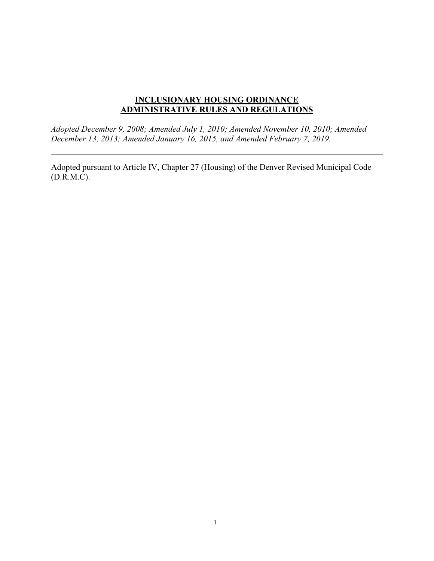# **INCLUSIONARY HOUSING ORDINANCE ADMINISTRATIVE RULES AND REGULATIONS**

*Adopted December 9, 2008; Amended July 1, 2010; Amended November 10, 2010; Amended December 13, 2013; Amended January 16, 2015, and Amended February 7, 2019.*

Adopted pursuant to Article IV, Chapter 27 (Housing) of the Denver Revised Municipal Code (D.R.M.C).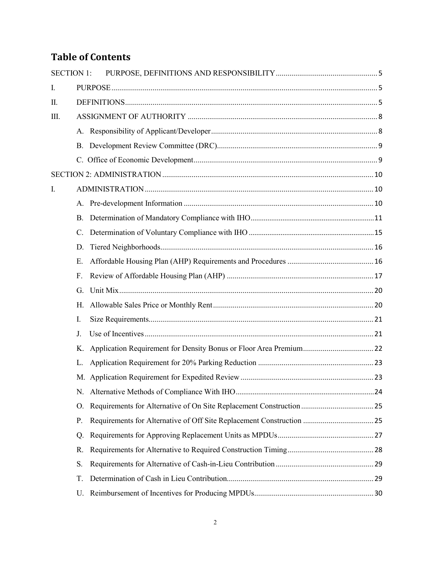# **Table of Contents**

|      | <b>SECTION 1:</b> |  |
|------|-------------------|--|
| I.   |                   |  |
| II.  |                   |  |
| III. |                   |  |
|      |                   |  |
|      |                   |  |
|      |                   |  |
|      |                   |  |
| I.   |                   |  |
|      |                   |  |
|      | В.                |  |
|      | C.                |  |
|      | D.                |  |
|      | Ε.                |  |
|      | F.                |  |
|      | G.                |  |
|      | Η.                |  |
|      | I.                |  |
|      | J.                |  |
|      | Κ.                |  |
|      | L.                |  |
|      |                   |  |
|      | N.                |  |
|      | Ο.                |  |
|      | Ρ.                |  |
|      | Q.                |  |
|      | R.                |  |
|      | S.                |  |
|      | T.                |  |
|      | U.                |  |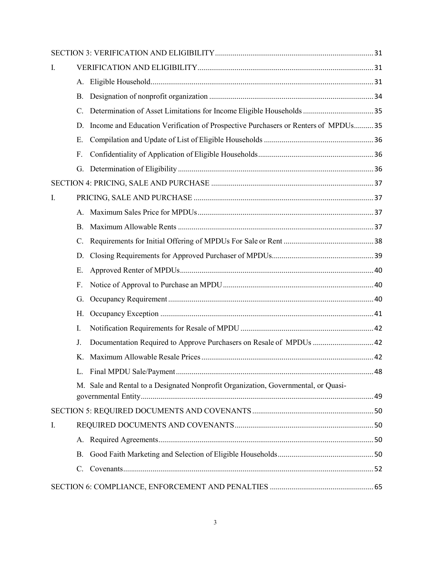| I. |           |                                                                                    |  |
|----|-----------|------------------------------------------------------------------------------------|--|
|    |           |                                                                                    |  |
|    | В.        |                                                                                    |  |
|    | C.        |                                                                                    |  |
|    | D.        | Income and Education Verification of Prospective Purchasers or Renters of MPDUs35  |  |
|    | Ε.        |                                                                                    |  |
|    | F.        |                                                                                    |  |
|    |           |                                                                                    |  |
|    |           |                                                                                    |  |
| I. |           |                                                                                    |  |
|    | A.        |                                                                                    |  |
|    | B.        |                                                                                    |  |
|    | C.        |                                                                                    |  |
|    | D.        |                                                                                    |  |
|    | Ε.        |                                                                                    |  |
|    | F.        |                                                                                    |  |
|    | G.        |                                                                                    |  |
|    | Н.        |                                                                                    |  |
|    | I.        |                                                                                    |  |
|    | J.        | Documentation Required to Approve Purchasers on Resale of MPDUs  42                |  |
|    | Κ.        |                                                                                    |  |
|    | L.        |                                                                                    |  |
|    |           | M. Sale and Rental to a Designated Nonprofit Organization, Governmental, or Quasi- |  |
|    |           |                                                                                    |  |
| I. |           |                                                                                    |  |
|    |           |                                                                                    |  |
|    | <b>B.</b> |                                                                                    |  |
|    | C.        |                                                                                    |  |
|    |           |                                                                                    |  |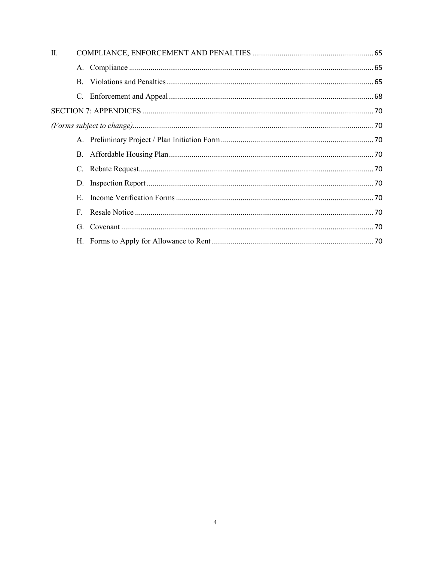| П. |    |  |
|----|----|--|
|    |    |  |
|    |    |  |
|    |    |  |
|    |    |  |
|    |    |  |
|    |    |  |
|    |    |  |
|    |    |  |
|    |    |  |
|    | E. |  |
|    |    |  |
|    |    |  |
|    |    |  |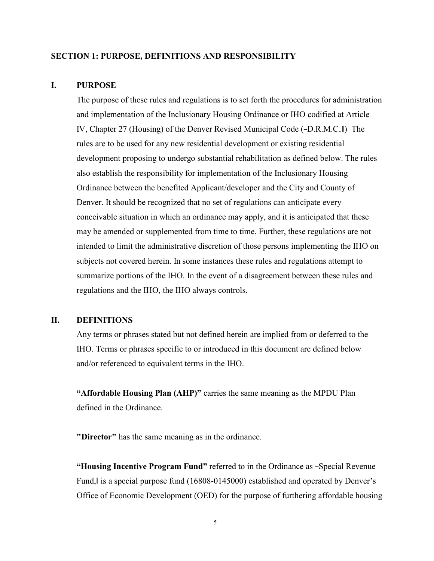### <span id="page-4-0"></span>**SECTION 1: PURPOSE, DEFINITIONS AND RESPONSIBILITY**

### <span id="page-4-1"></span>**I. PURPOSE**

The purpose of these rules and regulations is to set forth the procedures for administration and implementation of the Inclusionary Housing Ordinance or IHO codified at Article IV, Chapter 27 (Housing) of the Denver Revised Municipal Code (―D.R.M.C.‖) The rules are to be used for any new residential development or existing residential development proposing to undergo substantial rehabilitation as defined below. The rules also establish the responsibility for implementation of the Inclusionary Housing Ordinance between the benefited Applicant/developer and the City and County of Denver. It should be recognized that no set of regulations can anticipate every conceivable situation in which an ordinance may apply, and it is anticipated that these may be amended or supplemented from time to time. Further, these regulations are not intended to limit the administrative discretion of those persons implementing the IHO on subjects not covered herein. In some instances these rules and regulations attempt to summarize portions of the IHO. In the event of a disagreement between these rules and regulations and the IHO, the IHO always controls.

## <span id="page-4-2"></span>**II. DEFINITIONS**

Any terms or phrases stated but not defined herein are implied from or deferred to the IHO. Terms or phrases specific to or introduced in this document are defined below and/or referenced to equivalent terms in the IHO.

**"Affordable Housing Plan (AHP)"** carries the same meaning as the MPDU Plan defined in the Ordinance.

**"Director"** has the same meaning as in the ordinance.

**"Housing Incentive Program Fund"** referred to in the Ordinance as ―Special Revenue Fund, is a special purpose fund (16808-0145000) established and operated by Denver's Office of Economic Development (OED) for the purpose of furthering affordable housing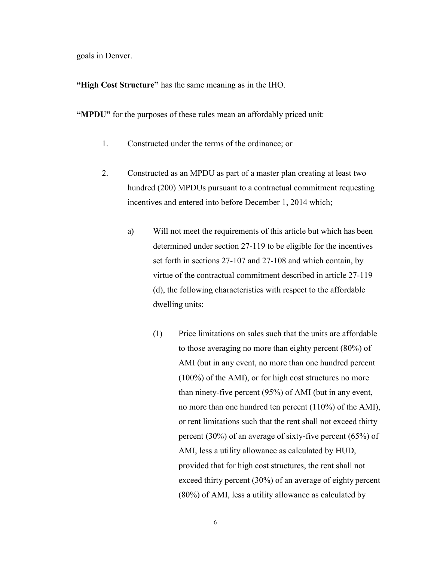goals in Denver.

**"High Cost Structure"** has the same meaning as in the IHO.

**"MPDU"** for the purposes of these rules mean an affordably priced unit:

- 1. Constructed under the terms of the ordinance; or
- 2. Constructed as an MPDU as part of a master plan creating at least two hundred (200) MPDUs pursuant to a contractual commitment requesting incentives and entered into before December 1, 2014 which;
	- a) Will not meet the requirements of this article but which has been determined under section 27-119 to be eligible for the incentives set forth in sections 27-107 and 27-108 and which contain, by virtue of the contractual commitment described in article 27-119 (d), the following characteristics with respect to the affordable dwelling units:
		- (1) Price limitations on sales such that the units are affordable to those averaging no more than eighty percent (80%) of AMI (but in any event, no more than one hundred percent (100%) of the AMI), or for high cost structures no more than ninety-five percent (95%) of AMI (but in any event, no more than one hundred ten percent (110%) of the AMI), or rent limitations such that the rent shall not exceed thirty percent (30%) of an average of sixty-five percent (65%) of AMI, less a utility allowance as calculated by HUD, provided that for high cost structures, the rent shall not exceed thirty percent (30%) of an average of eighty percent (80%) of AMI, less a utility allowance as calculated by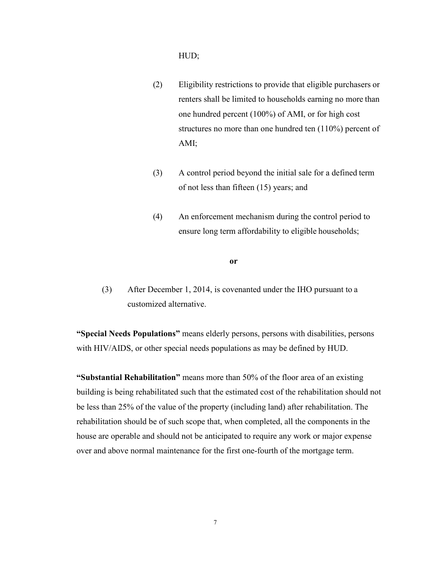### HUD;

- (2) Eligibility restrictions to provide that eligible purchasers or renters shall be limited to households earning no more than one hundred percent (100%) of AMI, or for high cost structures no more than one hundred ten (110%) percent of AMI;
- (3) A control period beyond the initial sale for a defined term of not less than fifteen (15) years; and
- (4) An enforcement mechanism during the control period to ensure long term affordability to eligible households;

#### **or**

(3) After December 1, 2014, is covenanted under the IHO pursuant to a customized alternative.

**"Special Needs Populations"** means elderly persons, persons with disabilities, persons with HIV/AIDS, or other special needs populations as may be defined by HUD.

**"Substantial Rehabilitation"** means more than 50% of the floor area of an existing building is being rehabilitated such that the estimated cost of the rehabilitation should not be less than 25% of the value of the property (including land) after rehabilitation. The rehabilitation should be of such scope that, when completed, all the components in the house are operable and should not be anticipated to require any work or major expense over and above normal maintenance for the first one-fourth of the mortgage term.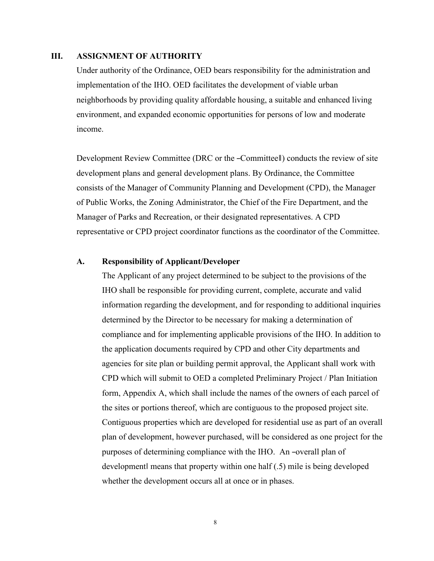## <span id="page-7-0"></span>**III. ASSIGNMENT OF AUTHORITY**

Under authority of the Ordinance, OED bears responsibility for the administration and implementation of the IHO. OED facilitates the development of viable urban neighborhoods by providing quality affordable housing, a suitable and enhanced living environment, and expanded economic opportunities for persons of low and moderate income.

Development Review Committee (DRC or the ―Committee‖) conducts the review of site development plans and general development plans. By Ordinance, the Committee consists of the Manager of Community Planning and Development (CPD), the Manager of Public Works, the Zoning Administrator, the Chief of the Fire Department, and the Manager of Parks and Recreation, or their designated representatives. A CPD representative or CPD project coordinator functions as the coordinator of the Committee.

## <span id="page-7-1"></span>**A. Responsibility of Applicant/Developer**

The Applicant of any project determined to be subject to the provisions of the IHO shall be responsible for providing current, complete, accurate and valid information regarding the development, and for responding to additional inquiries determined by the Director to be necessary for making a determination of compliance and for implementing applicable provisions of the IHO. In addition to the application documents required by CPD and other City departments and agencies for site plan or building permit approval, the Applicant shall work with CPD which will submit to OED a completed Preliminary Project / Plan Initiation form, Appendix A, which shall include the names of the owners of each parcel of the sites or portions thereof, which are contiguous to the proposed project site. Contiguous properties which are developed for residential use as part of an overall plan of development, however purchased, will be considered as one project for the purposes of determining compliance with the IHO. An ―overall plan of development‖ means that property within one half (.5) mile is being developed whether the development occurs all at once or in phases.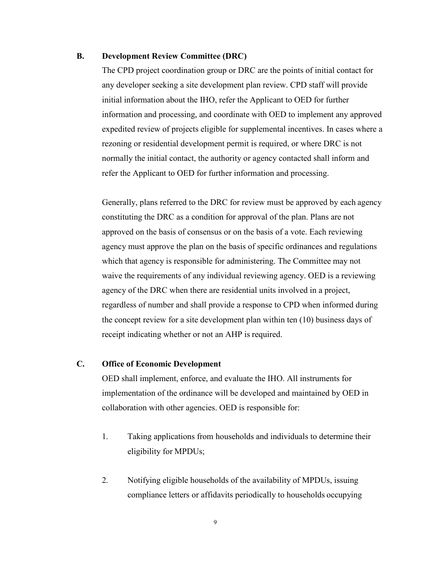### <span id="page-8-0"></span>**B. Development Review Committee (DRC)**

The CPD project coordination group or DRC are the points of initial contact for any developer seeking a site development plan review. CPD staff will provide initial information about the IHO, refer the Applicant to OED for further information and processing, and coordinate with OED to implement any approved expedited review of projects eligible for supplemental incentives. In cases where a rezoning or residential development permit is required, or where DRC is not normally the initial contact, the authority or agency contacted shall inform and refer the Applicant to OED for further information and processing.

Generally, plans referred to the DRC for review must be approved by each agency constituting the DRC as a condition for approval of the plan. Plans are not approved on the basis of consensus or on the basis of a vote. Each reviewing agency must approve the plan on the basis of specific ordinances and regulations which that agency is responsible for administering. The Committee may not waive the requirements of any individual reviewing agency. OED is a reviewing agency of the DRC when there are residential units involved in a project, regardless of number and shall provide a response to CPD when informed during the concept review for a site development plan within ten (10) business days of receipt indicating whether or not an AHP is required.

## <span id="page-8-1"></span>**C. Office of Economic Development**

OED shall implement, enforce, and evaluate the IHO. All instruments for implementation of the ordinance will be developed and maintained by OED in collaboration with other agencies. OED is responsible for:

- 1. Taking applications from households and individuals to determine their eligibility for MPDUs;
- 2. Notifying eligible households of the availability of MPDUs, issuing compliance letters or affidavits periodically to households occupying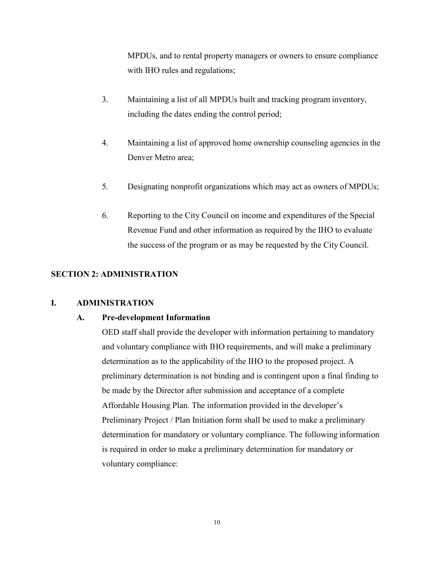MPDUs, and to rental property managers or owners to ensure compliance with IHO rules and regulations;

- 3. Maintaining a list of all MPDUs built and tracking program inventory, including the dates ending the control period;
- 4. Maintaining a list of approved home ownership counseling agencies in the Denver Metro area;
- 5. Designating nonprofit organizations which may act as owners of MPDUs;
- 6. Reporting to the City Council on income and expenditures of the Special Revenue Fund and other information as required by the IHO to evaluate the success of the program or as may be requested by the City Council.

# <span id="page-9-0"></span>**SECTION 2: ADMINISTRATION**

### <span id="page-9-2"></span><span id="page-9-1"></span>**I. ADMINISTRATION**

### **A. Pre-development Information**

OED staff shall provide the developer with information pertaining to mandatory and voluntary compliance with IHO requirements, and will make a preliminary determination as to the applicability of the IHO to the proposed project. A preliminary determination is not binding and is contingent upon a final finding to be made by the Director after submission and acceptance of a complete Affordable Housing Plan. The information provided in the developer's Preliminary Project / Plan Initiation form shall be used to make a preliminary determination for mandatory or voluntary compliance. The following information is required in order to make a preliminary determination for mandatory or voluntary compliance: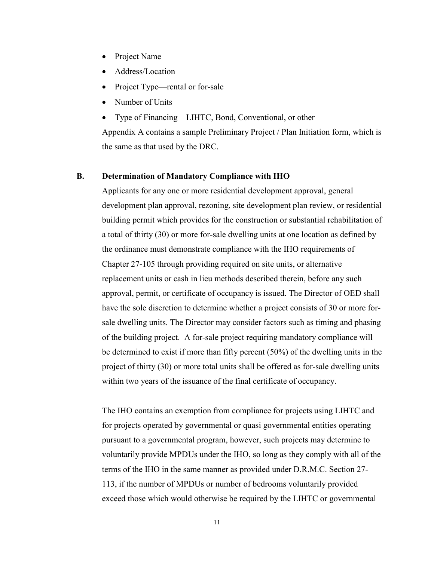- Project Name
- Address/Location
- Project Type—rental or for-sale
- Number of Units
- Type of Financing—LIHTC, Bond, Conventional, or other

Appendix A contains a sample Preliminary Project / Plan Initiation form, which is the same as that used by the DRC.

### <span id="page-10-0"></span>**B. Determination of Mandatory Compliance with IHO**

Applicants for any one or more residential development approval, general development plan approval, rezoning, site development plan review, or residential building permit which provides for the construction or substantial rehabilitation of a total of thirty (30) or more for-sale dwelling units at one location as defined by the ordinance must demonstrate compliance with the IHO requirements of Chapter 27-105 through providing required on site units, or alternative replacement units or cash in lieu methods described therein, before any such approval, permit, or certificate of occupancy is issued. The Director of OED shall have the sole discretion to determine whether a project consists of 30 or more forsale dwelling units. The Director may consider factors such as timing and phasing of the building project. A for-sale project requiring mandatory compliance will be determined to exist if more than fifty percent (50%) of the dwelling units in the project of thirty (30) or more total units shall be offered as for-sale dwelling units within two years of the issuance of the final certificate of occupancy.

The IHO contains an exemption from compliance for projects using LIHTC and for projects operated by governmental or quasi governmental entities operating pursuant to a governmental program, however, such projects may determine to voluntarily provide MPDUs under the IHO, so long as they comply with all of the terms of the IHO in the same manner as provided under D.R.M.C. Section 27- 113, if the number of MPDUs or number of bedrooms voluntarily provided exceed those which would otherwise be required by the LIHTC or governmental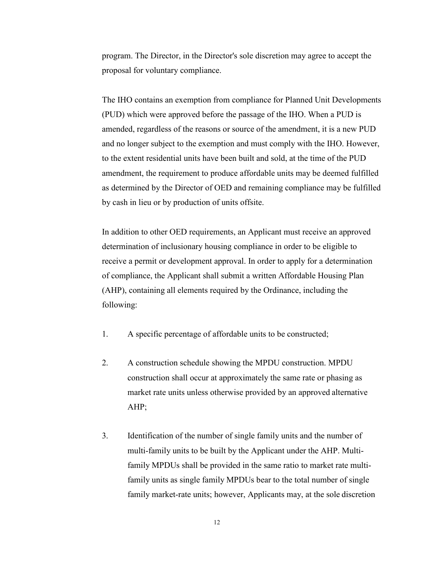program. The Director, in the Director's sole discretion may agree to accept the proposal for voluntary compliance.

The IHO contains an exemption from compliance for Planned Unit Developments (PUD) which were approved before the passage of the IHO. When a PUD is amended, regardless of the reasons or source of the amendment, it is a new PUD and no longer subject to the exemption and must comply with the IHO. However, to the extent residential units have been built and sold, at the time of the PUD amendment, the requirement to produce affordable units may be deemed fulfilled as determined by the Director of OED and remaining compliance may be fulfilled by cash in lieu or by production of units offsite.

In addition to other OED requirements, an Applicant must receive an approved determination of inclusionary housing compliance in order to be eligible to receive a permit or development approval. In order to apply for a determination of compliance, the Applicant shall submit a written Affordable Housing Plan (AHP), containing all elements required by the Ordinance, including the following:

- 1. A specific percentage of affordable units to be constructed;
- 2. A construction schedule showing the MPDU construction. MPDU construction shall occur at approximately the same rate or phasing as market rate units unless otherwise provided by an approved alternative AHP;
- 3. Identification of the number of single family units and the number of multi-family units to be built by the Applicant under the AHP. Multifamily MPDUs shall be provided in the same ratio to market rate multifamily units as single family MPDUs bear to the total number of single family market-rate units; however, Applicants may, at the sole discretion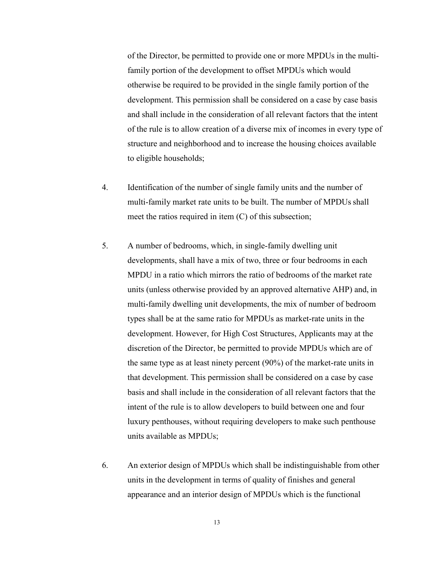of the Director, be permitted to provide one or more MPDUs in the multifamily portion of the development to offset MPDUs which would otherwise be required to be provided in the single family portion of the development. This permission shall be considered on a case by case basis and shall include in the consideration of all relevant factors that the intent of the rule is to allow creation of a diverse mix of incomes in every type of structure and neighborhood and to increase the housing choices available to eligible households;

- 4. Identification of the number of single family units and the number of multi-family market rate units to be built. The number of MPDUs shall meet the ratios required in item (C) of this subsection;
- 5. A number of bedrooms, which, in single-family dwelling unit developments, shall have a mix of two, three or four bedrooms in each MPDU in a ratio which mirrors the ratio of bedrooms of the market rate units (unless otherwise provided by an approved alternative AHP) and, in multi-family dwelling unit developments, the mix of number of bedroom types shall be at the same ratio for MPDUs as market-rate units in the development. However, for High Cost Structures, Applicants may at the discretion of the Director, be permitted to provide MPDUs which are of the same type as at least ninety percent (90%) of the market-rate units in that development. This permission shall be considered on a case by case basis and shall include in the consideration of all relevant factors that the intent of the rule is to allow developers to build between one and four luxury penthouses, without requiring developers to make such penthouse units available as MPDUs;
- 6. An exterior design of MPDUs which shall be indistinguishable from other units in the development in terms of quality of finishes and general appearance and an interior design of MPDUs which is the functional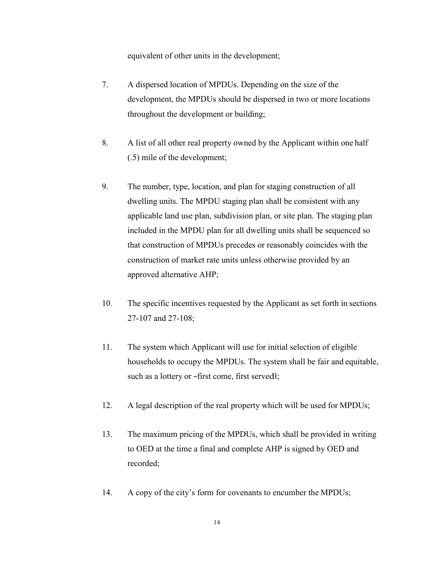equivalent of other units in the development;

- 7. A dispersed location of MPDUs. Depending on the size of the development, the MPDUs should be dispersed in two or more locations throughout the development or building;
- 8. A list of all other real property owned by the Applicant within one half (.5) mile of the development;
- 9. The number, type, location, and plan for staging construction of all dwelling units. The MPDU staging plan shall be consistent with any applicable land use plan, subdivision plan, or site plan. The staging plan included in the MPDU plan for all dwelling units shall be sequenced so that construction of MPDUs precedes or reasonably coincides with the construction of market rate units unless otherwise provided by an approved alternative AHP;
- 10. The specific incentives requested by the Applicant as set forth in sections 27-107 and 27-108;
- 11. The system which Applicant will use for initial selection of eligible households to occupy the MPDUs. The system shall be fair and equitable, such as a lottery or –first come, first served||;
- 12. A legal description of the real property which will be used for MPDUs;
- 13. The maximum pricing of the MPDUs, which shall be provided in writing to OED at the time a final and complete AHP is signed by OED and recorded;
- 14. A copy of the city's form for covenants to encumber the MPDUs;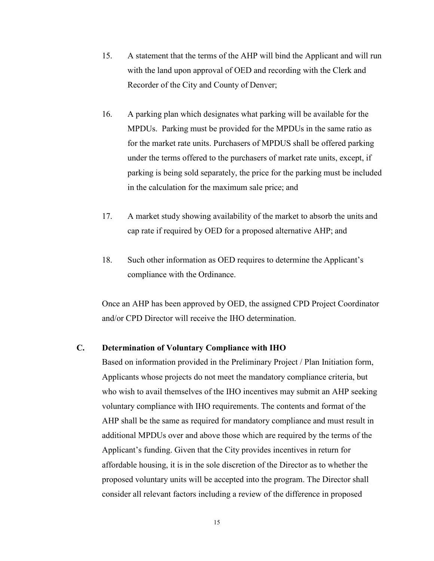- 15. A statement that the terms of the AHP will bind the Applicant and will run with the land upon approval of OED and recording with the Clerk and Recorder of the City and County of Denver;
- 16. A parking plan which designates what parking will be available for the MPDUs. Parking must be provided for the MPDUs in the same ratio as for the market rate units. Purchasers of MPDUS shall be offered parking under the terms offered to the purchasers of market rate units, except, if parking is being sold separately, the price for the parking must be included in the calculation for the maximum sale price; and
- 17. A market study showing availability of the market to absorb the units and cap rate if required by OED for a proposed alternative AHP; and
- 18. Such other information as OED requires to determine the Applicant's compliance with the Ordinance.

Once an AHP has been approved by OED, the assigned CPD Project Coordinator and/or CPD Director will receive the IHO determination.

## <span id="page-14-0"></span>**C. Determination of Voluntary Compliance with IHO**

Based on information provided in the Preliminary Project / Plan Initiation form, Applicants whose projects do not meet the mandatory compliance criteria, but who wish to avail themselves of the IHO incentives may submit an AHP seeking voluntary compliance with IHO requirements. The contents and format of the AHP shall be the same as required for mandatory compliance and must result in additional MPDUs over and above those which are required by the terms of the Applicant's funding. Given that the City provides incentives in return for affordable housing, it is in the sole discretion of the Director as to whether the proposed voluntary units will be accepted into the program. The Director shall consider all relevant factors including a review of the difference in proposed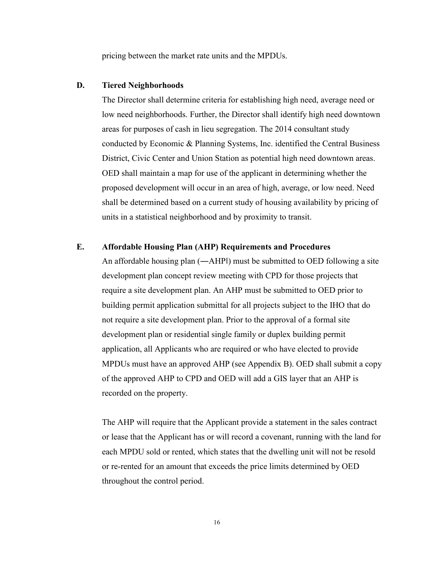pricing between the market rate units and the MPDUs.

# <span id="page-15-0"></span>**D. Tiered Neighborhoods**

The Director shall determine criteria for establishing high need, average need or low need neighborhoods. Further, the Director shall identify high need downtown areas for purposes of cash in lieu segregation. The 2014 consultant study conducted by Economic & Planning Systems, Inc. identified the Central Business District, Civic Center and Union Station as potential high need downtown areas. OED shall maintain a map for use of the applicant in determining whether the proposed development will occur in an area of high, average, or low need. Need shall be determined based on a current study of housing availability by pricing of units in a statistical neighborhood and by proximity to transit.

# <span id="page-15-1"></span>**E. Affordable Housing Plan (AHP) Requirements and Procedures**

An affordable housing plan (—AHPI) must be submitted to OED following a site development plan concept review meeting with CPD for those projects that require a site development plan. An AHP must be submitted to OED prior to building permit application submittal for all projects subject to the IHO that do not require a site development plan. Prior to the approval of a formal site development plan or residential single family or duplex building permit application, all Applicants who are required or who have elected to provide MPDUs must have an approved AHP (see Appendix B). OED shall submit a copy of the approved AHP to CPD and OED will add a GIS layer that an AHP is recorded on the property.

The AHP will require that the Applicant provide a statement in the sales contract or lease that the Applicant has or will record a covenant, running with the land for each MPDU sold or rented, which states that the dwelling unit will not be resold or re-rented for an amount that exceeds the price limits determined by OED throughout the control period.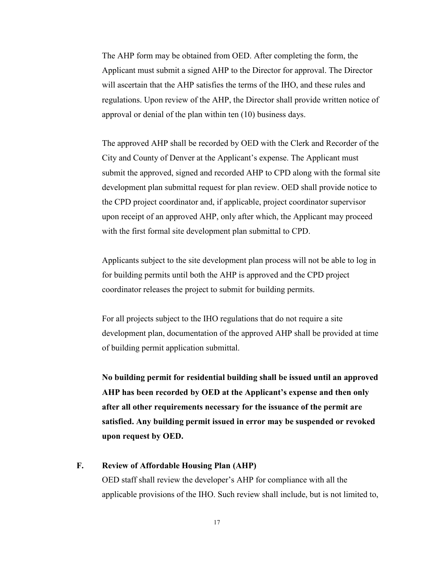The AHP form may be obtained from OED. After completing the form, the Applicant must submit a signed AHP to the Director for approval. The Director will ascertain that the AHP satisfies the terms of the IHO, and these rules and regulations. Upon review of the AHP, the Director shall provide written notice of approval or denial of the plan within ten (10) business days.

The approved AHP shall be recorded by OED with the Clerk and Recorder of the City and County of Denver at the Applicant's expense. The Applicant must submit the approved, signed and recorded AHP to CPD along with the formal site development plan submittal request for plan review. OED shall provide notice to the CPD project coordinator and, if applicable, project coordinator supervisor upon receipt of an approved AHP, only after which, the Applicant may proceed with the first formal site development plan submittal to CPD.

Applicants subject to the site development plan process will not be able to log in for building permits until both the AHP is approved and the CPD project coordinator releases the project to submit for building permits.

For all projects subject to the IHO regulations that do not require a site development plan, documentation of the approved AHP shall be provided at time of building permit application submittal.

**No building permit for residential building shall be issued until an approved AHP has been recorded by OED at the Applicant's expense and then only after all other requirements necessary for the issuance of the permit are satisfied. Any building permit issued in error may be suspended or revoked upon request by OED.**

## <span id="page-16-0"></span>**F. Review of Affordable Housing Plan (AHP)**

OED staff shall review the developer's AHP for compliance with all the applicable provisions of the IHO. Such review shall include, but is not limited to,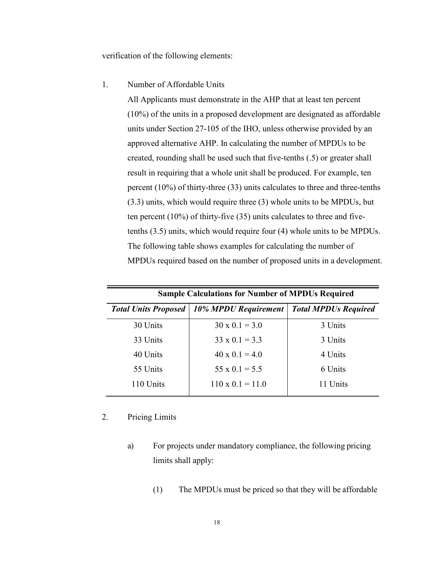verification of the following elements:

#### 1. Number of Affordable Units

All Applicants must demonstrate in the AHP that at least ten percent (10%) of the units in a proposed development are designated as affordable units under Section 27-105 of the IHO, unless otherwise provided by an approved alternative AHP. In calculating the number of MPDUs to be created, rounding shall be used such that five-tenths (.5) or greater shall result in requiring that a whole unit shall be produced. For example, ten percent (10%) of thirty-three (33) units calculates to three and three-tenths (3.3) units, which would require three (3) whole units to be MPDUs, but ten percent (10%) of thirty-five (35) units calculates to three and fivetenths (3.5) units, which would require four (4) whole units to be MPDUs. The following table shows examples for calculating the number of MPDUs required based on the number of proposed units in a development.

| <b>Sample Calculations for Number of MPDUs Required</b> |                                                    |                             |  |  |
|---------------------------------------------------------|----------------------------------------------------|-----------------------------|--|--|
|                                                         | <b>Total Units Proposed   10% MPDU Requirement</b> | <b>Total MPDUs Required</b> |  |  |
| 30 Units                                                | $30 \times 0.1 = 3.0$                              | 3 Units                     |  |  |
| 33 Units                                                | $33 \times 0.1 = 3.3$                              | 3 Units                     |  |  |
| 40 Units                                                | $40 \times 0.1 = 4.0$                              | 4 Units                     |  |  |
| 55 Units                                                | $55 \times 0.1 = 5.5$                              | 6 Units                     |  |  |
| 110 Units                                               | $110 \times 0.1 = 11.0$                            | 11 Units                    |  |  |

# 2. Pricing Limits

- a) For projects under mandatory compliance, the following pricing limits shall apply:
	- (1) The MPDUs must be priced so that they will be affordable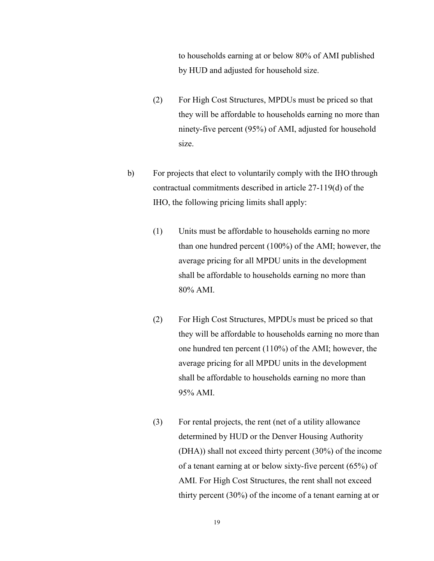to households earning at or below 80% of AMI published by HUD and adjusted for household size.

- (2) For High Cost Structures, MPDUs must be priced so that they will be affordable to households earning no more than ninety-five percent (95%) of AMI, adjusted for household size.
- b) For projects that elect to voluntarily comply with the IHO through contractual commitments described in article 27-119(d) of the IHO, the following pricing limits shall apply:
	- (1) Units must be affordable to households earning no more than one hundred percent (100%) of the AMI; however, the average pricing for all MPDU units in the development shall be affordable to households earning no more than 80% AMI.
	- (2) For High Cost Structures, MPDUs must be priced so that they will be affordable to households earning no more than one hundred ten percent (110%) of the AMI; however, the average pricing for all MPDU units in the development shall be affordable to households earning no more than 95% AMI.
	- (3) For rental projects, the rent (net of a utility allowance determined by HUD or the Denver Housing Authority (DHA)) shall not exceed thirty percent (30%) of the income of a tenant earning at or below sixty-five percent (65%) of AMI. For High Cost Structures, the rent shall not exceed thirty percent (30%) of the income of a tenant earning at or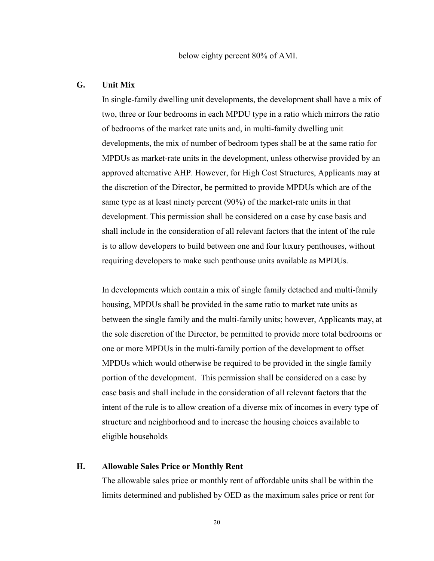### <span id="page-19-0"></span>**G. Unit Mix**

In single-family dwelling unit developments, the development shall have a mix of two, three or four bedrooms in each MPDU type in a ratio which mirrors the ratio of bedrooms of the market rate units and, in multi-family dwelling unit developments, the mix of number of bedroom types shall be at the same ratio for MPDUs as market-rate units in the development, unless otherwise provided by an approved alternative AHP. However, for High Cost Structures, Applicants may at the discretion of the Director, be permitted to provide MPDUs which are of the same type as at least ninety percent (90%) of the market-rate units in that development. This permission shall be considered on a case by case basis and shall include in the consideration of all relevant factors that the intent of the rule is to allow developers to build between one and four luxury penthouses, without requiring developers to make such penthouse units available as MPDUs.

In developments which contain a mix of single family detached and multi-family housing, MPDUs shall be provided in the same ratio to market rate units as between the single family and the multi-family units; however, Applicants may, at the sole discretion of the Director, be permitted to provide more total bedrooms or one or more MPDUs in the multi-family portion of the development to offset MPDUs which would otherwise be required to be provided in the single family portion of the development. This permission shall be considered on a case by case basis and shall include in the consideration of all relevant factors that the intent of the rule is to allow creation of a diverse mix of incomes in every type of structure and neighborhood and to increase the housing choices available to eligible households

### <span id="page-19-1"></span>**H. Allowable Sales Price or Monthly Rent**

The allowable sales price or monthly rent of affordable units shall be within the limits determined and published by OED as the maximum sales price or rent for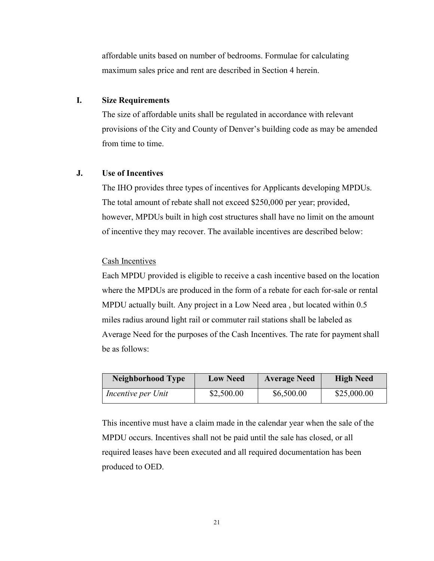affordable units based on number of bedrooms. Formulae for calculating maximum sales price and rent are described in Section 4 herein.

### <span id="page-20-0"></span>**I. Size Requirements**

The size of affordable units shall be regulated in accordance with relevant provisions of the City and County of Denver's building code as may be amended from time to time.

# <span id="page-20-1"></span>**J. Use of Incentives**

The IHO provides three types of incentives for Applicants developing MPDUs. The total amount of rebate shall not exceed \$250,000 per year; provided, however, MPDUs built in high cost structures shall have no limit on the amount of incentive they may recover. The available incentives are described below:

## Cash Incentives

Each MPDU provided is eligible to receive a cash incentive based on the location where the MPDUs are produced in the form of a rebate for each for-sale or rental MPDU actually built. Any project in a Low Need area , but located within 0.5 miles radius around light rail or commuter rail stations shall be labeled as Average Need for the purposes of the Cash Incentives. The rate for payment shall be as follows:

| <b>Neighborhood Type</b> | <b>Low Need</b> | <b>Average Need</b> | <b>High Need</b> |
|--------------------------|-----------------|---------------------|------------------|
| Incentive per Unit       | \$2,500.00      | \$6,500.00          | \$25,000.00      |

This incentive must have a claim made in the calendar year when the sale of the MPDU occurs. Incentives shall not be paid until the sale has closed, or all required leases have been executed and all required documentation has been produced to OED.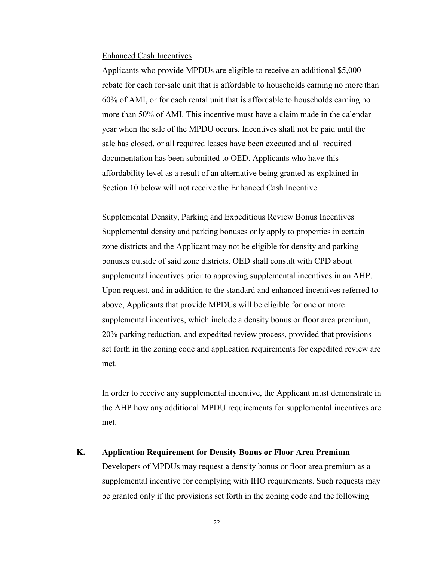#### Enhanced Cash Incentives

Applicants who provide MPDUs are eligible to receive an additional \$5,000 rebate for each for-sale unit that is affordable to households earning no more than 60% of AMI, or for each rental unit that is affordable to households earning no more than 50% of AMI. This incentive must have a claim made in the calendar year when the sale of the MPDU occurs. Incentives shall not be paid until the sale has closed, or all required leases have been executed and all required documentation has been submitted to OED. Applicants who have this affordability level as a result of an alternative being granted as explained in Section 10 below will not receive the Enhanced Cash Incentive.

Supplemental Density, Parking and Expeditious Review Bonus Incentives Supplemental density and parking bonuses only apply to properties in certain zone districts and the Applicant may not be eligible for density and parking bonuses outside of said zone districts. OED shall consult with CPD about supplemental incentives prior to approving supplemental incentives in an AHP. Upon request, and in addition to the standard and enhanced incentives referred to above, Applicants that provide MPDUs will be eligible for one or more supplemental incentives, which include a density bonus or floor area premium, 20% parking reduction, and expedited review process, provided that provisions set forth in the zoning code and application requirements for expedited review are met.

In order to receive any supplemental incentive, the Applicant must demonstrate in the AHP how any additional MPDU requirements for supplemental incentives are met.

# <span id="page-21-0"></span>**K. Application Requirement for Density Bonus or Floor Area Premium**

Developers of MPDUs may request a density bonus or floor area premium as a supplemental incentive for complying with IHO requirements. Such requests may be granted only if the provisions set forth in the zoning code and the following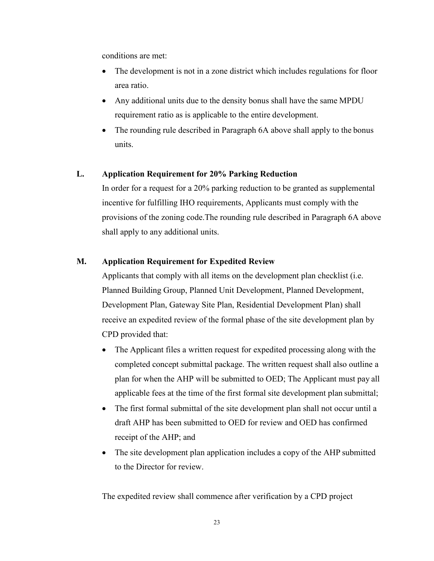conditions are met:

- The development is not in a zone district which includes regulations for floor area ratio.
- Any additional units due to the density bonus shall have the same MPDU requirement ratio as is applicable to the entire development.
- The rounding rule described in Paragraph 6A above shall apply to the bonus units.

## <span id="page-22-0"></span>**L. Application Requirement for 20% Parking Reduction**

In order for a request for a 20% parking reduction to be granted as supplemental incentive for fulfilling IHO requirements, Applicants must comply with the provisions of the zoning code.The rounding rule described in Paragraph 6A above shall apply to any additional units.

# <span id="page-22-1"></span>**M. Application Requirement for Expedited Review**

Applicants that comply with all items on the development plan checklist (i.e. Planned Building Group, Planned Unit Development, Planned Development, Development Plan, Gateway Site Plan, Residential Development Plan) shall receive an expedited review of the formal phase of the site development plan by CPD provided that:

- The Applicant files a written request for expedited processing along with the completed concept submittal package. The written request shall also outline a plan for when the AHP will be submitted to OED; The Applicant must pay all applicable fees at the time of the first formal site development plan submittal;
- The first formal submittal of the site development plan shall not occur until a draft AHP has been submitted to OED for review and OED has confirmed receipt of the AHP; and
- The site development plan application includes a copy of the AHP submitted to the Director for review.

The expedited review shall commence after verification by a CPD project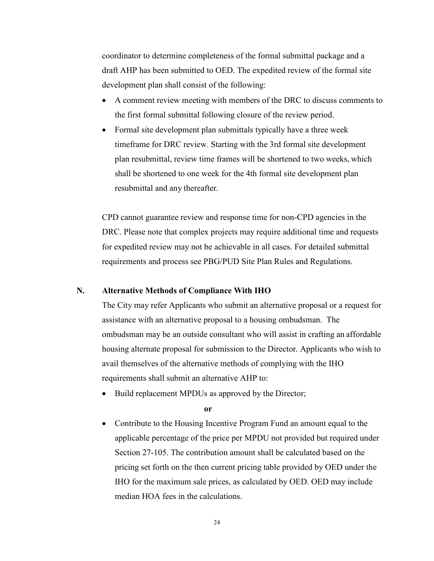coordinator to determine completeness of the formal submittal package and a draft AHP has been submitted to OED. The expedited review of the formal site development plan shall consist of the following:

- A comment review meeting with members of the DRC to discuss comments to the first formal submittal following closure of the review period.
- Formal site development plan submittals typically have a three week timeframe for DRC review. Starting with the 3rd formal site development plan resubmittal, review time frames will be shortened to two weeks, which shall be shortened to one week for the 4th formal site development plan resubmittal and any thereafter.

CPD cannot guarantee review and response time for non-CPD agencies in the DRC. Please note that complex projects may require additional time and requests for expedited review may not be achievable in all cases. For detailed submittal requirements and process see PBG/PUD Site Plan Rules and Regulations.

### <span id="page-23-0"></span>**N. Alternative Methods of Compliance With IHO**

The City may refer Applicants who submit an alternative proposal or a request for assistance with an alternative proposal to a housing ombudsman. The ombudsman may be an outside consultant who will assist in crafting an affordable housing alternate proposal for submission to the Director. Applicants who wish to avail themselves of the alternative methods of complying with the IHO requirements shall submit an alternative AHP to:

Build replacement MPDUs as approved by the Director;

**or**

• Contribute to the Housing Incentive Program Fund an amount equal to the applicable percentage of the price per MPDU not provided but required under Section 27-105. The contribution amount shall be calculated based on the pricing set forth on the then current pricing table provided by OED under the IHO for the maximum sale prices, as calculated by OED. OED may include median HOA fees in the calculations.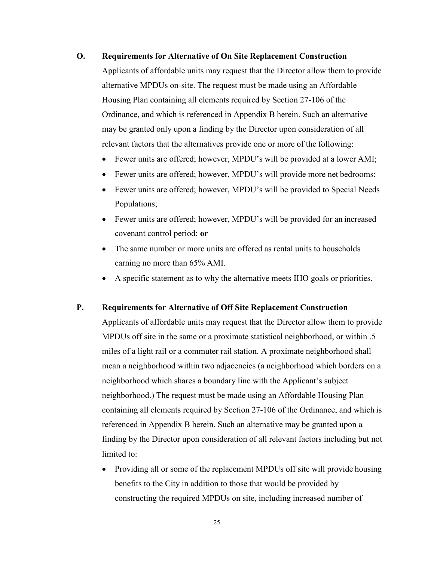### <span id="page-24-0"></span>**O. Requirements for Alternative of On Site Replacement Construction**

Applicants of affordable units may request that the Director allow them to provide alternative MPDUs on-site. The request must be made using an Affordable Housing Plan containing all elements required by Section 27-106 of the Ordinance, and which is referenced in Appendix B herein. Such an alternative may be granted only upon a finding by the Director upon consideration of all relevant factors that the alternatives provide one or more of the following:

- Fewer units are offered; however, MPDU's will be provided at a lower AMI;
- Fewer units are offered; however, MPDU's will provide more net bedrooms;
- Fewer units are offered; however, MPDU's will be provided to Special Needs Populations;
- Fewer units are offered; however, MPDU's will be provided for an increased covenant control period; **or**
- The same number or more units are offered as rental units to households earning no more than 65% AMI.
- A specific statement as to why the alternative meets IHO goals or priorities.

### <span id="page-24-1"></span>**P. Requirements for Alternative of Off Site Replacement Construction**

Applicants of affordable units may request that the Director allow them to provide MPDUs off site in the same or a proximate statistical neighborhood, or within .5 miles of a light rail or a commuter rail station. A proximate neighborhood shall mean a neighborhood within two adjacencies (a neighborhood which borders on a neighborhood which shares a boundary line with the Applicant's subject neighborhood.) The request must be made using an Affordable Housing Plan containing all elements required by Section 27-106 of the Ordinance, and which is referenced in Appendix B herein. Such an alternative may be granted upon a finding by the Director upon consideration of all relevant factors including but not limited to:

• Providing all or some of the replacement MPDUs off site will provide housing benefits to the City in addition to those that would be provided by constructing the required MPDUs on site, including increased number of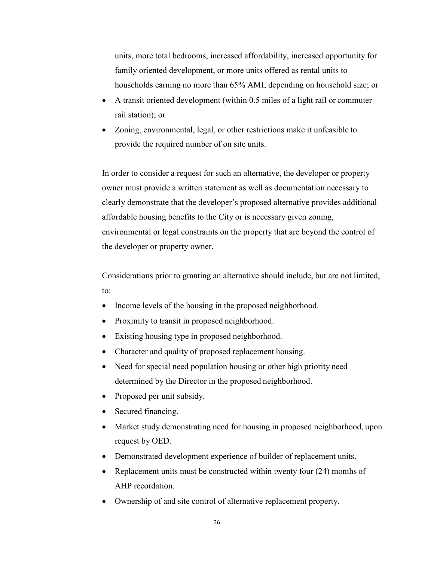units, more total bedrooms, increased affordability, increased opportunity for family oriented development, or more units offered as rental units to households earning no more than 65% AMI, depending on household size; or

- A transit oriented development (within 0.5 miles of a light rail or commuter rail station); or
- Zoning, environmental, legal, or other restrictions make it unfeasible to provide the required number of on site units.

In order to consider a request for such an alternative, the developer or property owner must provide a written statement as well as documentation necessary to clearly demonstrate that the developer's proposed alternative provides additional affordable housing benefits to the City or is necessary given zoning, environmental or legal constraints on the property that are beyond the control of the developer or property owner.

Considerations prior to granting an alternative should include, but are not limited, to:

- Income levels of the housing in the proposed neighborhood.
- Proximity to transit in proposed neighborhood.
- Existing housing type in proposed neighborhood.
- Character and quality of proposed replacement housing.
- Need for special need population housing or other high priority need determined by the Director in the proposed neighborhood.
- Proposed per unit subsidy.
- Secured financing.
- Market study demonstrating need for housing in proposed neighborhood, upon request by OED.
- Demonstrated development experience of builder of replacement units.
- Replacement units must be constructed within twenty four (24) months of AHP recordation.
- Ownership of and site control of alternative replacement property.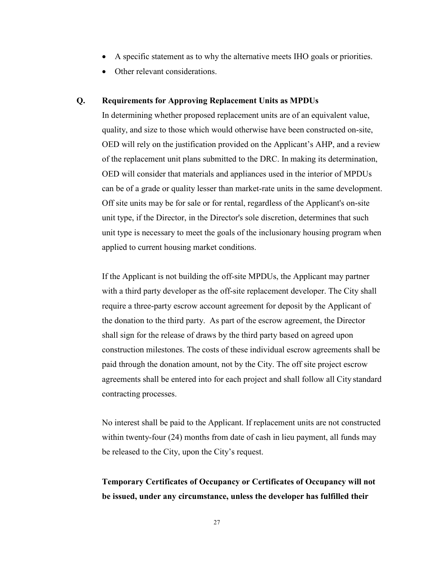- A specific statement as to why the alternative meets IHO goals or priorities.
- Other relevant considerations.

### <span id="page-26-0"></span>**Q. Requirements for Approving Replacement Units as MPDUs**

In determining whether proposed replacement units are of an equivalent value, quality, and size to those which would otherwise have been constructed on-site, OED will rely on the justification provided on the Applicant's AHP, and a review of the replacement unit plans submitted to the DRC. In making its determination, OED will consider that materials and appliances used in the interior of MPDUs can be of a grade or quality lesser than market-rate units in the same development. Off site units may be for sale or for rental, regardless of the Applicant's on-site unit type, if the Director, in the Director's sole discretion, determines that such unit type is necessary to meet the goals of the inclusionary housing program when applied to current housing market conditions.

If the Applicant is not building the off-site MPDUs, the Applicant may partner with a third party developer as the off-site replacement developer. The City shall require a three-party escrow account agreement for deposit by the Applicant of the donation to the third party. As part of the escrow agreement, the Director shall sign for the release of draws by the third party based on agreed upon construction milestones. The costs of these individual escrow agreements shall be paid through the donation amount, not by the City. The off site project escrow agreements shall be entered into for each project and shall follow all City standard contracting processes.

No interest shall be paid to the Applicant. If replacement units are not constructed within twenty-four (24) months from date of cash in lieu payment, all funds may be released to the City, upon the City's request.

# **Temporary Certificates of Occupancy or Certificates of Occupancy will not be issued, under any circumstance, unless the developer has fulfilled their**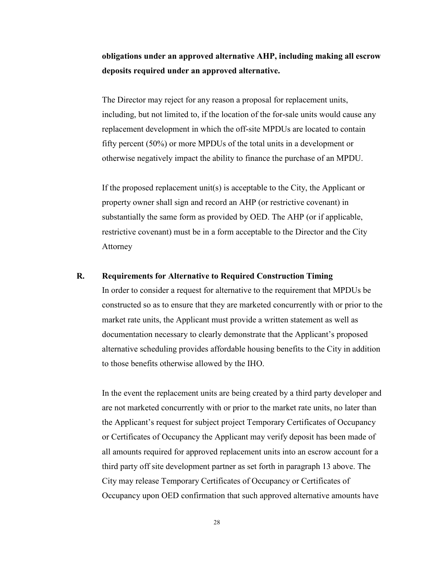**obligations under an approved alternative AHP, including making all escrow deposits required under an approved alternative.**

The Director may reject for any reason a proposal for replacement units, including, but not limited to, if the location of the for-sale units would cause any replacement development in which the off-site MPDUs are located to contain fifty percent (50%) or more MPDUs of the total units in a development or otherwise negatively impact the ability to finance the purchase of an MPDU.

If the proposed replacement unit(s) is acceptable to the City, the Applicant or property owner shall sign and record an AHP (or restrictive covenant) in substantially the same form as provided by OED. The AHP (or if applicable, restrictive covenant) must be in a form acceptable to the Director and the City Attorney

## <span id="page-27-0"></span>**R. Requirements for Alternative to Required Construction Timing**

In order to consider a request for alternative to the requirement that MPDUs be constructed so as to ensure that they are marketed concurrently with or prior to the market rate units, the Applicant must provide a written statement as well as documentation necessary to clearly demonstrate that the Applicant's proposed alternative scheduling provides affordable housing benefits to the City in addition to those benefits otherwise allowed by the IHO.

In the event the replacement units are being created by a third party developer and are not marketed concurrently with or prior to the market rate units, no later than the Applicant's request for subject project Temporary Certificates of Occupancy or Certificates of Occupancy the Applicant may verify deposit has been made of all amounts required for approved replacement units into an escrow account for a third party off site development partner as set forth in paragraph 13 above. The City may release Temporary Certificates of Occupancy or Certificates of Occupancy upon OED confirmation that such approved alternative amounts have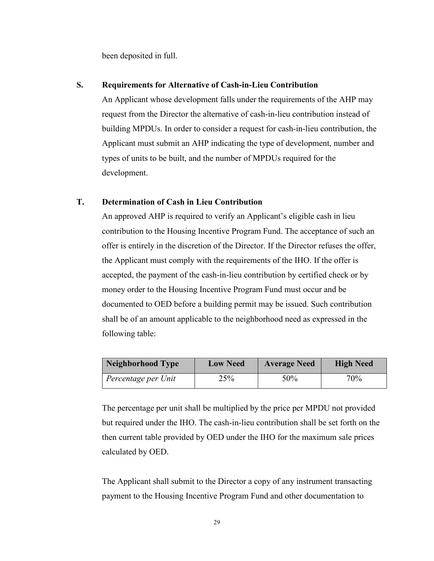been deposited in full.

# <span id="page-28-0"></span>**S. Requirements for Alternative of Cash-in-Lieu Contribution**

An Applicant whose development falls under the requirements of the AHP may request from the Director the alternative of cash-in-lieu contribution instead of building MPDUs. In order to consider a request for cash-in-lieu contribution, the Applicant must submit an AHP indicating the type of development, number and types of units to be built, and the number of MPDUs required for the development.

# <span id="page-28-1"></span>**T. Determination of Cash in Lieu Contribution**

An approved AHP is required to verify an Applicant's eligible cash in lieu contribution to the Housing Incentive Program Fund. The acceptance of such an offer is entirely in the discretion of the Director. If the Director refuses the offer, the Applicant must comply with the requirements of the IHO. If the offer is accepted, the payment of the cash-in-lieu contribution by certified check or by money order to the Housing Incentive Program Fund must occur and be documented to OED before a building permit may be issued. Such contribution shall be of an amount applicable to the neighborhood need as expressed in the following table:

| Neighborhood Type   | <b>Low Need</b> | <b>Average Need</b> | <b>High Need</b> |  |
|---------------------|-----------------|---------------------|------------------|--|
| Percentage per Unit | 25%             | 50%                 | $70\%$           |  |

The percentage per unit shall be multiplied by the price per MPDU not provided but required under the IHO. The cash-in-lieu contribution shall be set forth on the then current table provided by OED under the IHO for the maximum sale prices calculated by OED.

The Applicant shall submit to the Director a copy of any instrument transacting payment to the Housing Incentive Program Fund and other documentation to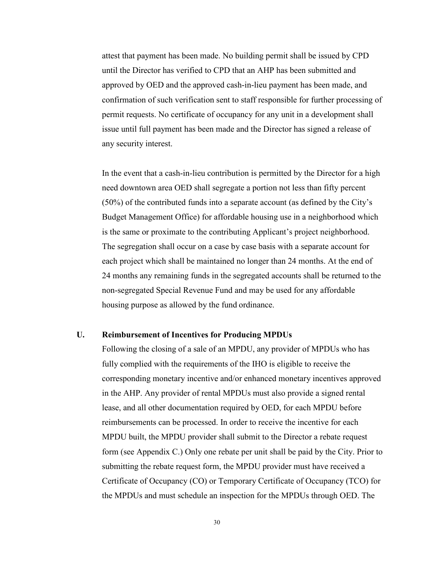attest that payment has been made. No building permit shall be issued by CPD until the Director has verified to CPD that an AHP has been submitted and approved by OED and the approved cash-in-lieu payment has been made, and confirmation of such verification sent to staff responsible for further processing of permit requests. No certificate of occupancy for any unit in a development shall issue until full payment has been made and the Director has signed a release of any security interest.

In the event that a cash-in-lieu contribution is permitted by the Director for a high need downtown area OED shall segregate a portion not less than fifty percent (50%) of the contributed funds into a separate account (as defined by the City's Budget Management Office) for affordable housing use in a neighborhood which is the same or proximate to the contributing Applicant's project neighborhood. The segregation shall occur on a case by case basis with a separate account for each project which shall be maintained no longer than 24 months. At the end of 24 months any remaining funds in the segregated accounts shall be returned to the non-segregated Special Revenue Fund and may be used for any affordable housing purpose as allowed by the fund ordinance.

### <span id="page-29-0"></span>**U. Reimbursement of Incentives for Producing MPDUs**

Following the closing of a sale of an MPDU, any provider of MPDUs who has fully complied with the requirements of the IHO is eligible to receive the corresponding monetary incentive and/or enhanced monetary incentives approved in the AHP. Any provider of rental MPDUs must also provide a signed rental lease, and all other documentation required by OED, for each MPDU before reimbursements can be processed. In order to receive the incentive for each MPDU built, the MPDU provider shall submit to the Director a rebate request form (see Appendix C.) Only one rebate per unit shall be paid by the City. Prior to submitting the rebate request form, the MPDU provider must have received a Certificate of Occupancy (CO) or Temporary Certificate of Occupancy (TCO) for the MPDUs and must schedule an inspection for the MPDUs through OED. The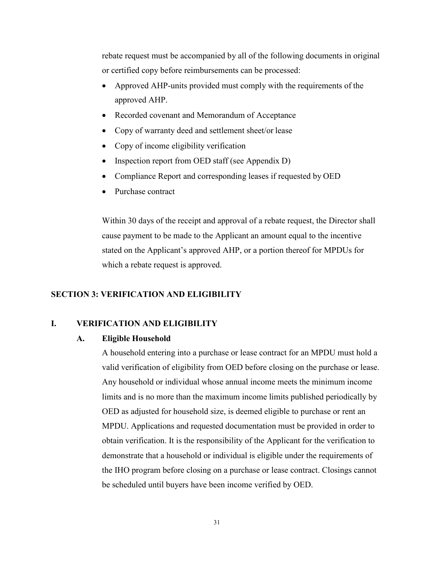rebate request must be accompanied by all of the following documents in original or certified copy before reimbursements can be processed:

- Approved AHP-units provided must comply with the requirements of the approved AHP.
- Recorded covenant and Memorandum of Acceptance
- Copy of warranty deed and settlement sheet/or lease
- Copy of income eligibility verification
- Inspection report from OED staff (see Appendix D)
- Compliance Report and corresponding leases if requested by OED
- Purchase contract

Within 30 days of the receipt and approval of a rebate request, the Director shall cause payment to be made to the Applicant an amount equal to the incentive stated on the Applicant's approved AHP, or a portion thereof for MPDUs for which a rebate request is approved.

## <span id="page-30-0"></span>**SECTION 3: VERIFICATION AND ELIGIBILITY**

### <span id="page-30-2"></span><span id="page-30-1"></span>**I. VERIFICATION AND ELIGIBILITY**

### **A. Eligible Household**

A household entering into a purchase or lease contract for an MPDU must hold a valid verification of eligibility from OED before closing on the purchase or lease. Any household or individual whose annual income meets the minimum income limits and is no more than the maximum income limits published periodically by OED as adjusted for household size, is deemed eligible to purchase or rent an MPDU. Applications and requested documentation must be provided in order to obtain verification. It is the responsibility of the Applicant for the verification to demonstrate that a household or individual is eligible under the requirements of the IHO program before closing on a purchase or lease contract. Closings cannot be scheduled until buyers have been income verified by OED.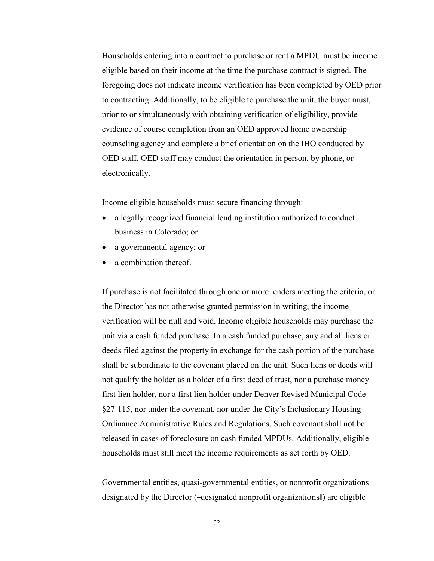Households entering into a contract to purchase or rent a MPDU must be income eligible based on their income at the time the purchase contract is signed. The foregoing does not indicate income verification has been completed by OED prior to contracting. Additionally, to be eligible to purchase the unit, the buyer must, prior to or simultaneously with obtaining verification of eligibility, provide evidence of course completion from an OED approved home ownership counseling agency and complete a brief orientation on the IHO conducted by OED staff. OED staff may conduct the orientation in person, by phone, or electronically.

Income eligible households must secure financing through:

- a legally recognized financial lending institution authorized to conduct business in Colorado; or
- a governmental agency; or
- a combination thereof.

If purchase is not facilitated through one or more lenders meeting the criteria, or the Director has not otherwise granted permission in writing, the income verification will be null and void. Income eligible households may purchase the unit via a cash funded purchase. In a cash funded purchase, any and all liens or deeds filed against the property in exchange for the cash portion of the purchase shall be subordinate to the covenant placed on the unit. Such liens or deeds will not qualify the holder as a holder of a first deed of trust, nor a purchase money first lien holder, nor a first lien holder under Denver Revised Municipal Code §27-115, nor under the covenant, nor under the City's Inclusionary Housing Ordinance Administrative Rules and Regulations. Such covenant shall not be released in cases of foreclosure on cash funded MPDUs. Additionally, eligible households must still meet the income requirements as set forth by OED.

Governmental entities, quasi-governmental entities, or nonprofit organizations designated by the Director (―designated nonprofit organizations‖) are eligible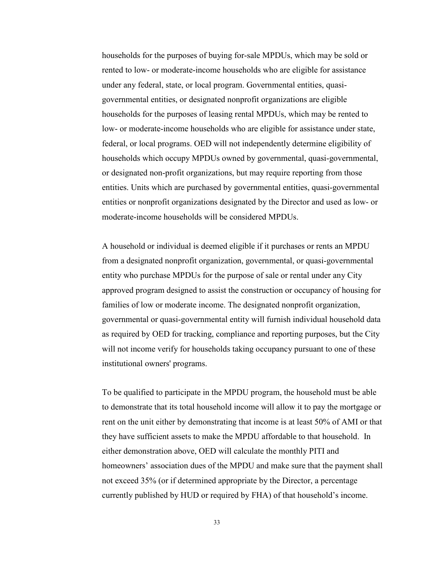households for the purposes of buying for-sale MPDUs, which may be sold or rented to low- or moderate-income households who are eligible for assistance under any federal, state, or local program. Governmental entities, quasigovernmental entities, or designated nonprofit organizations are eligible households for the purposes of leasing rental MPDUs, which may be rented to low- or moderate-income households who are eligible for assistance under state, federal, or local programs. OED will not independently determine eligibility of households which occupy MPDUs owned by governmental, quasi-governmental, or designated non-profit organizations, but may require reporting from those entities. Units which are purchased by governmental entities, quasi-governmental entities or nonprofit organizations designated by the Director and used as low- or moderate-income households will be considered MPDUs.

A household or individual is deemed eligible if it purchases or rents an MPDU from a designated nonprofit organization, governmental, or quasi-governmental entity who purchase MPDUs for the purpose of sale or rental under any City approved program designed to assist the construction or occupancy of housing for families of low or moderate income. The designated nonprofit organization, governmental or quasi-governmental entity will furnish individual household data as required by OED for tracking, compliance and reporting purposes, but the City will not income verify for households taking occupancy pursuant to one of these institutional owners' programs.

To be qualified to participate in the MPDU program, the household must be able to demonstrate that its total household income will allow it to pay the mortgage or rent on the unit either by demonstrating that income is at least 50% of AMI or that they have sufficient assets to make the MPDU affordable to that household. In either demonstration above, OED will calculate the monthly PITI and homeowners' association dues of the MPDU and make sure that the payment shall not exceed 35% (or if determined appropriate by the Director, a percentage currently published by HUD or required by FHA) of that household's income.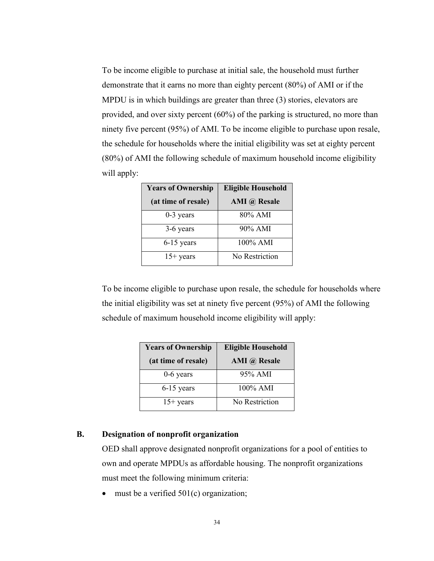To be income eligible to purchase at initial sale, the household must further demonstrate that it earns no more than eighty percent (80%) of AMI or if the MPDU is in which buildings are greater than three (3) stories, elevators are provided, and over sixty percent (60%) of the parking is structured, no more than ninety five percent (95%) of AMI. To be income eligible to purchase upon resale, the schedule for households where the initial eligibility was set at eighty percent (80%) of AMI the following schedule of maximum household income eligibility will apply:

| <b>Years of Ownership</b> | <b>Eligible Household</b> |
|---------------------------|---------------------------|
| (at time of resale)       | <b>AMI</b> @ Resale       |
| $0-3$ years               | 80% AMI                   |
| 3-6 years                 | $90\%$ AMI                |
| 6-15 years                | 100% AMI                  |
| $15+$ years               | No Restriction            |

To be income eligible to purchase upon resale, the schedule for households where the initial eligibility was set at ninety five percent (95%) of AMI the following schedule of maximum household income eligibility will apply:

| <b>Years of Ownership</b> | <b>Eligible Household</b> |
|---------------------------|---------------------------|
| (at time of resale)       | AMI @ Resale              |
| $0-6$ years               | 95% AMI                   |
| $6-15$ years              | $100\%$ AMI               |
| $15+$ years               | No Restriction            |

## <span id="page-33-0"></span>**B. Designation of nonprofit organization**

OED shall approve designated nonprofit organizations for a pool of entities to own and operate MPDUs as affordable housing. The nonprofit organizations must meet the following minimum criteria:

must be a verified  $501(c)$  organization;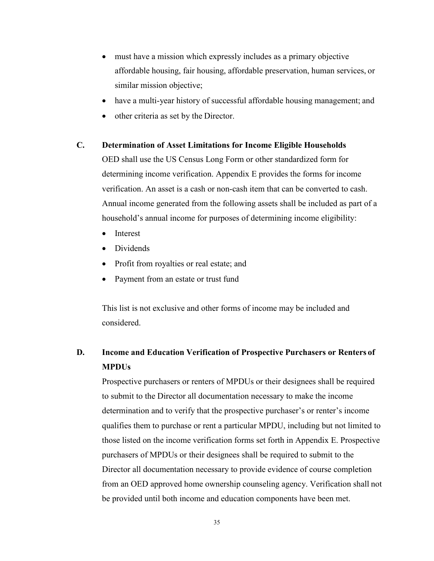- must have a mission which expressly includes as a primary objective affordable housing, fair housing, affordable preservation, human services, or similar mission objective;
- have a multi-year history of successful affordable housing management; and
- other criteria as set by the Director.

### <span id="page-34-0"></span>**C. Determination of Asset Limitations for Income Eligible Households**

OED shall use the US Census Long Form or other standardized form for determining income verification. Appendix E provides the forms for income verification. An asset is a cash or non-cash item that can be converted to cash. Annual income generated from the following assets shall be included as part of a household's annual income for purposes of determining income eligibility:

- **Interest**
- Dividends
- Profit from royalties or real estate; and
- Payment from an estate or trust fund

This list is not exclusive and other forms of income may be included and considered.

# <span id="page-34-1"></span>**D. Income and Education Verification of Prospective Purchasers or Renters of MPDUs**

Prospective purchasers or renters of MPDUs or their designees shall be required to submit to the Director all documentation necessary to make the income determination and to verify that the prospective purchaser's or renter's income qualifies them to purchase or rent a particular MPDU, including but not limited to those listed on the income verification forms set forth in Appendix E. Prospective purchasers of MPDUs or their designees shall be required to submit to the Director all documentation necessary to provide evidence of course completion from an OED approved home ownership counseling agency. Verification shall not be provided until both income and education components have been met.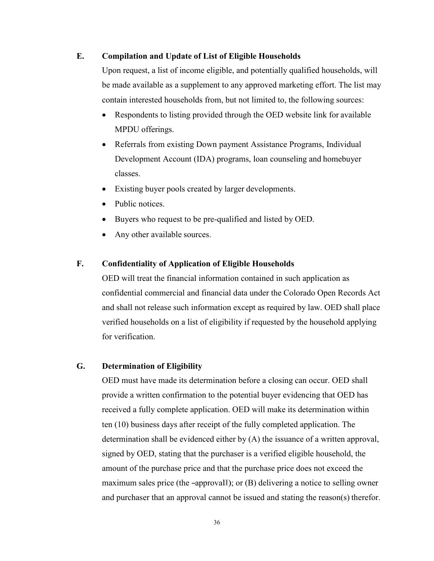# <span id="page-35-0"></span>**E. Compilation and Update of List of Eligible Households**

Upon request, a list of income eligible, and potentially qualified households, will be made available as a supplement to any approved marketing effort. The list may contain interested households from, but not limited to, the following sources:

- Respondents to listing provided through the OED website link for available MPDU offerings.
- Referrals from existing Down payment Assistance Programs, Individual Development Account (IDA) programs, loan counseling and homebuyer classes.
- Existing buyer pools created by larger developments.
- Public notices.
- Buyers who request to be pre-qualified and listed by OED.
- Any other available sources.

# <span id="page-35-1"></span>**F. Confidentiality of Application of Eligible Households**

OED will treat the financial information contained in such application as confidential commercial and financial data under the Colorado Open Records Act and shall not release such information except as required by law. OED shall place verified households on a list of eligibility if requested by the household applying for verification.

# <span id="page-35-2"></span>**G. Determination of Eligibility**

OED must have made its determination before a closing can occur. OED shall provide a written confirmation to the potential buyer evidencing that OED has received a fully complete application. OED will make its determination within ten (10) business days after receipt of the fully completed application. The determination shall be evidenced either by (A) the issuance of a written approval, signed by OED, stating that the purchaser is a verified eligible household, the amount of the purchase price and that the purchase price does not exceed the maximum sales price (the -approvall); or (B) delivering a notice to selling owner and purchaser that an approval cannot be issued and stating the reason(s) therefor.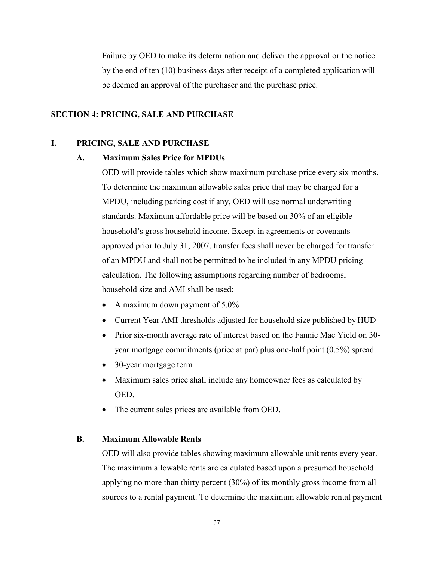Failure by OED to make its determination and deliver the approval or the notice by the end of ten (10) business days after receipt of a completed application will be deemed an approval of the purchaser and the purchase price.

### <span id="page-36-0"></span>**SECTION 4: PRICING, SALE AND PURCHASE**

### <span id="page-36-2"></span><span id="page-36-1"></span>**I. PRICING, SALE AND PURCHASE**

#### **A. Maximum Sales Price for MPDUs**

OED will provide tables which show maximum purchase price every six months. To determine the maximum allowable sales price that may be charged for a MPDU, including parking cost if any, OED will use normal underwriting standards. Maximum affordable price will be based on 30% of an eligible household's gross household income. Except in agreements or covenants approved prior to July 31, 2007, transfer fees shall never be charged for transfer of an MPDU and shall not be permitted to be included in any MPDU pricing calculation. The following assumptions regarding number of bedrooms, household size and AMI shall be used:

- A maximum down payment of 5.0%
- Current Year AMI thresholds adjusted for household size published by HUD
- Prior six-month average rate of interest based on the Fannie Mae Yield on 30 year mortgage commitments (price at par) plus one-half point (0.5%) spread.
- 30-year mortgage term
- Maximum sales price shall include any homeowner fees as calculated by OED.
- The current sales prices are available from OED.

## <span id="page-36-3"></span>**B. Maximum Allowable Rents**

OED will also provide tables showing maximum allowable unit rents every year. The maximum allowable rents are calculated based upon a presumed household applying no more than thirty percent (30%) of its monthly gross income from all sources to a rental payment. To determine the maximum allowable rental payment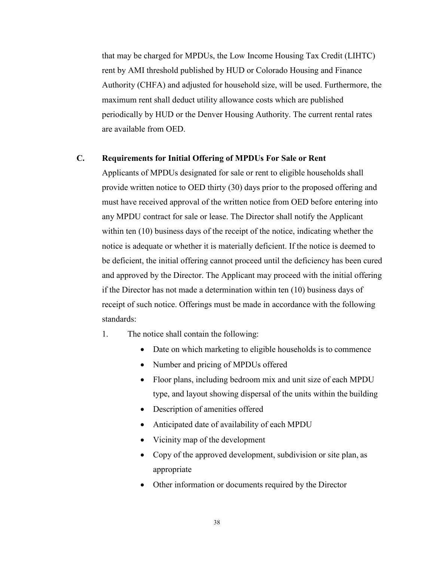that may be charged for MPDUs, the Low Income Housing Tax Credit (LIHTC) rent by AMI threshold published by HUD or Colorado Housing and Finance Authority (CHFA) and adjusted for household size, will be used. Furthermore, the maximum rent shall deduct utility allowance costs which are published periodically by HUD or the Denver Housing Authority. The current rental rates are available from OED.

### <span id="page-37-0"></span>**C. Requirements for Initial Offering of MPDUs For Sale or Rent**

Applicants of MPDUs designated for sale or rent to eligible households shall provide written notice to OED thirty (30) days prior to the proposed offering and must have received approval of the written notice from OED before entering into any MPDU contract for sale or lease. The Director shall notify the Applicant within ten (10) business days of the receipt of the notice, indicating whether the notice is adequate or whether it is materially deficient. If the notice is deemed to be deficient, the initial offering cannot proceed until the deficiency has been cured and approved by the Director. The Applicant may proceed with the initial offering if the Director has not made a determination within ten (10) business days of receipt of such notice. Offerings must be made in accordance with the following standards:

- 1. The notice shall contain the following:
	- Date on which marketing to eligible households is to commence
	- Number and pricing of MPDUs offered
	- Floor plans, including bedroom mix and unit size of each MPDU type, and layout showing dispersal of the units within the building
	- Description of amenities offered
	- Anticipated date of availability of each MPDU
	- Vicinity map of the development
	- Copy of the approved development, subdivision or site plan, as appropriate
	- Other information or documents required by the Director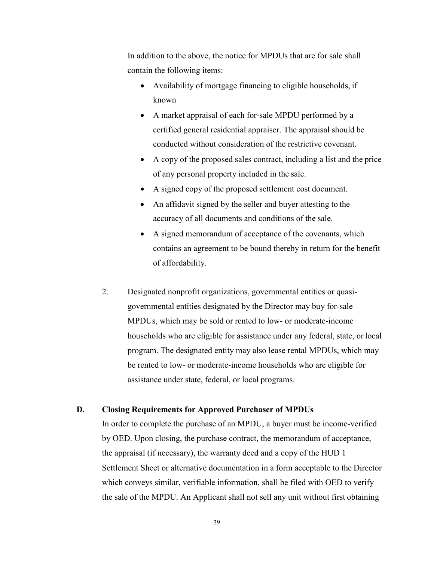In addition to the above, the notice for MPDUs that are for sale shall contain the following items:

- Availability of mortgage financing to eligible households, if known
- A market appraisal of each for-sale MPDU performed by a certified general residential appraiser. The appraisal should be conducted without consideration of the restrictive covenant.
- A copy of the proposed sales contract, including a list and the price of any personal property included in the sale.
- A signed copy of the proposed settlement cost document.
- An affidavit signed by the seller and buyer attesting to the accuracy of all documents and conditions of the sale.
- A signed memorandum of acceptance of the covenants, which contains an agreement to be bound thereby in return for the benefit of affordability.
- 2. Designated nonprofit organizations, governmental entities or quasigovernmental entities designated by the Director may buy for-sale MPDUs, which may be sold or rented to low- or moderate-income households who are eligible for assistance under any federal, state, or local program. The designated entity may also lease rental MPDUs, which may be rented to low- or moderate-income households who are eligible for assistance under state, federal, or local programs.

# <span id="page-38-0"></span>**D. Closing Requirements for Approved Purchaser of MPDUs**

In order to complete the purchase of an MPDU, a buyer must be income-verified by OED. Upon closing, the purchase contract, the memorandum of acceptance, the appraisal (if necessary), the warranty deed and a copy of the HUD 1 Settlement Sheet or alternative documentation in a form acceptable to the Director which conveys similar, verifiable information, shall be filed with OED to verify the sale of the MPDU. An Applicant shall not sell any unit without first obtaining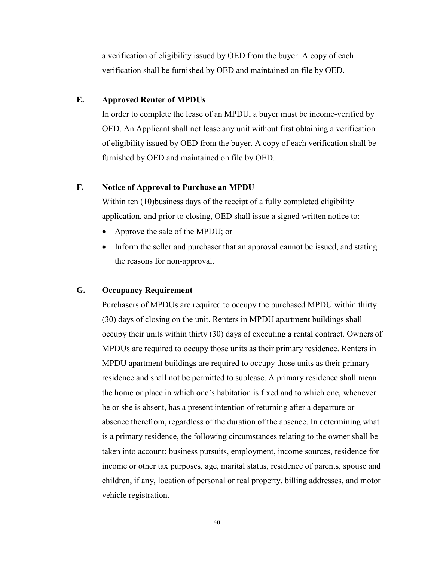a verification of eligibility issued by OED from the buyer. A copy of each verification shall be furnished by OED and maintained on file by OED.

### <span id="page-39-0"></span>**E. Approved Renter of MPDUs**

In order to complete the lease of an MPDU, a buyer must be income-verified by OED. An Applicant shall not lease any unit without first obtaining a verification of eligibility issued by OED from the buyer. A copy of each verification shall be furnished by OED and maintained on file by OED.

# <span id="page-39-1"></span>**F. Notice of Approval to Purchase an MPDU**

Within ten (10)business days of the receipt of a fully completed eligibility application, and prior to closing, OED shall issue a signed written notice to:

- Approve the sale of the MPDU; or
- Inform the seller and purchaser that an approval cannot be issued, and stating the reasons for non-approval.

### <span id="page-39-2"></span>**G. Occupancy Requirement**

Purchasers of MPDUs are required to occupy the purchased MPDU within thirty (30) days of closing on the unit. Renters in MPDU apartment buildings shall occupy their units within thirty (30) days of executing a rental contract. Owners of MPDUs are required to occupy those units as their primary residence. Renters in MPDU apartment buildings are required to occupy those units as their primary residence and shall not be permitted to sublease. A primary residence shall mean the home or place in which one's habitation is fixed and to which one, whenever he or she is absent, has a present intention of returning after a departure or absence therefrom, regardless of the duration of the absence. In determining what is a primary residence, the following circumstances relating to the owner shall be taken into account: business pursuits, employment, income sources, residence for income or other tax purposes, age, marital status, residence of parents, spouse and children, if any, location of personal or real property, billing addresses, and motor vehicle registration.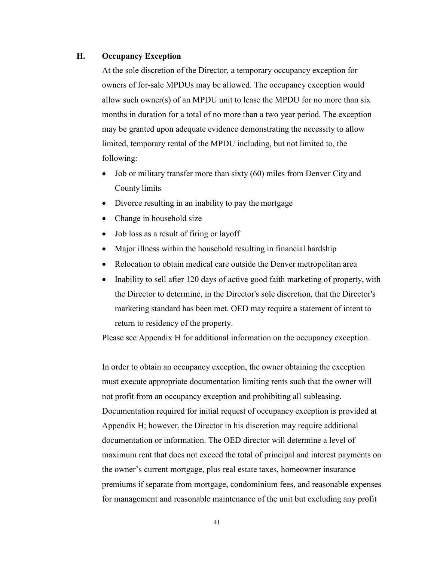### <span id="page-40-0"></span>**H. Occupancy Exception**

At the sole discretion of the Director, a temporary occupancy exception for owners of for-sale MPDUs may be allowed. The occupancy exception would allow such owner(s) of an MPDU unit to lease the MPDU for no more than six months in duration for a total of no more than a two year period. The exception may be granted upon adequate evidence demonstrating the necessity to allow limited, temporary rental of the MPDU including, but not limited to, the following:

- Job or military transfer more than sixty (60) miles from Denver City and County limits
- Divorce resulting in an inability to pay the mortgage
- Change in household size
- Job loss as a result of firing or layoff
- Major illness within the household resulting in financial hardship
- Relocation to obtain medical care outside the Denver metropolitan area
- Inability to sell after 120 days of active good faith marketing of property, with the Director to determine, in the Director's sole discretion, that the Director's marketing standard has been met. OED may require a statement of intent to return to residency of the property.

Please see Appendix H for additional information on the occupancy exception.

In order to obtain an occupancy exception, the owner obtaining the exception must execute appropriate documentation limiting rents such that the owner will not profit from an occupancy exception and prohibiting all subleasing. Documentation required for initial request of occupancy exception is provided at Appendix H; however, the Director in his discretion may require additional documentation or information. The OED director will determine a level of maximum rent that does not exceed the total of principal and interest payments on the owner's current mortgage, plus real estate taxes, homeowner insurance premiums if separate from mortgage, condominium fees, and reasonable expenses for management and reasonable maintenance of the unit but excluding any profit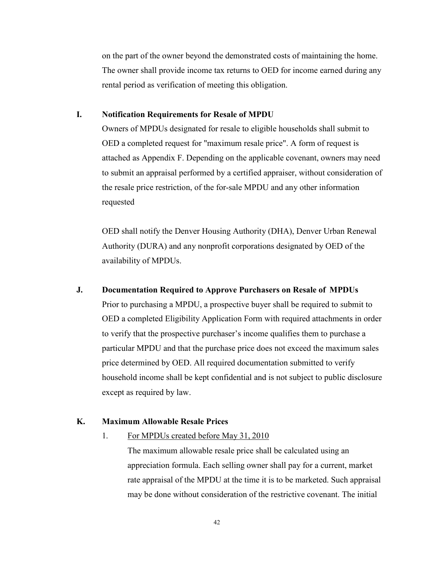on the part of the owner beyond the demonstrated costs of maintaining the home. The owner shall provide income tax returns to OED for income earned during any rental period as verification of meeting this obligation.

# <span id="page-41-0"></span>**I. Notification Requirements for Resale of MPDU**

Owners of MPDUs designated for resale to eligible households shall submit to OED a completed request for "maximum resale price". A form of request is attached as Appendix F. Depending on the applicable covenant, owners may need to submit an appraisal performed by a certified appraiser, without consideration of the resale price restriction, of the for-sale MPDU and any other information requested

OED shall notify the Denver Housing Authority (DHA), Denver Urban Renewal Authority (DURA) and any nonprofit corporations designated by OED of the availability of MPDUs.

# <span id="page-41-1"></span>**J. Documentation Required to Approve Purchasers on Resale of MPDUs**

Prior to purchasing a MPDU, a prospective buyer shall be required to submit to OED a completed Eligibility Application Form with required attachments in order to verify that the prospective purchaser's income qualifies them to purchase a particular MPDU and that the purchase price does not exceed the maximum sales price determined by OED. All required documentation submitted to verify household income shall be kept confidential and is not subject to public disclosure except as required by law.

### <span id="page-41-2"></span>**K. Maximum Allowable Resale Prices**

## 1. For MPDUs created before May 31, 2010

The maximum allowable resale price shall be calculated using an appreciation formula. Each selling owner shall pay for a current, market rate appraisal of the MPDU at the time it is to be marketed. Such appraisal may be done without consideration of the restrictive covenant. The initial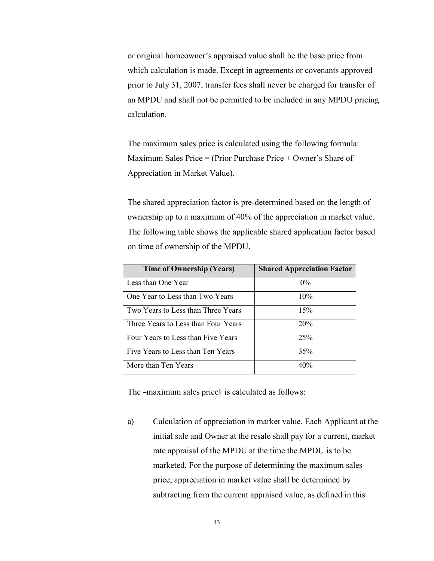or original homeowner's appraised value shall be the base price from which calculation is made. Except in agreements or covenants approved prior to July 31, 2007, transfer fees shall never be charged for transfer of an MPDU and shall not be permitted to be included in any MPDU pricing calculation.

The maximum sales price is calculated using the following formula: Maximum Sales Price = (Prior Purchase Price + Owner's Share of Appreciation in Market Value).

The shared appreciation factor is pre-determined based on the length of ownership up to a maximum of 40% of the appreciation in market value. The following table shows the applicable shared application factor based on time of ownership of the MPDU.

| <b>Time of Ownership (Years)</b>    | <b>Shared Appreciation Factor</b> |
|-------------------------------------|-----------------------------------|
| Less than One Year                  | $0\%$                             |
| One Year to Less than Two Years     | 10%                               |
| Two Years to Less than Three Years  | 15%                               |
| Three Years to Less than Four Years | 20%                               |
| Four Years to Less than Five Years  | 25%                               |
| Five Years to Less than Ten Years   | 35%                               |
| More than Ten Years                 | 40%                               |

The -maximum sales pricell is calculated as follows:

a) Calculation of appreciation in market value. Each Applicant at the initial sale and Owner at the resale shall pay for a current, market rate appraisal of the MPDU at the time the MPDU is to be marketed. For the purpose of determining the maximum sales price, appreciation in market value shall be determined by subtracting from the current appraised value, as defined in this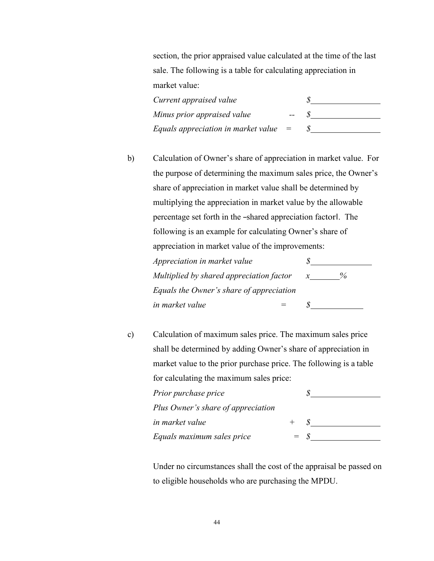section, the prior appraised value calculated at the time of the last sale. The following is a table for calculating appreciation in market value:

| Current appraised value                 |       |  |
|-----------------------------------------|-------|--|
| Minus prior appraised value             | $- -$ |  |
| Equals appreciation in market value $=$ |       |  |

b) Calculation of Owner's share of appreciation in market value. For the purpose of determining the maximum sales price, the Owner's share of appreciation in market value shall be determined by multiplying the appreciation in market value by the allowable percentage set forth in the ―shared appreciation factor‖. The following is an example for calculating Owner's share of appreciation in market value of the improvements:

| Appreciation in market value             |      |
|------------------------------------------|------|
| Multiplied by shared appreciation factor | $\%$ |
| Equals the Owner's share of appreciation |      |
| in market value                          |      |

c) Calculation of maximum sales price. The maximum sales price shall be determined by adding Owner's share of appreciation in market value to the prior purchase price. The following is a table for calculating the maximum sales price:

| Prior purchase price               |                   |  |
|------------------------------------|-------------------|--|
| Plus Owner's share of appreciation |                   |  |
| in market value                    |                   |  |
| Equals maximum sales price         | $=$ $\mathcal{S}$ |  |

Under no circumstances shall the cost of the appraisal be passed on to eligible households who are purchasing the MPDU.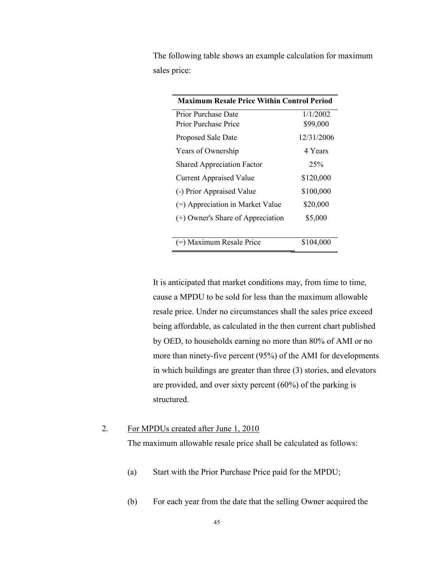The following table shows an example calculation for maximum sales price:

| <b>Maximum Resale Price Within Control Period</b> |            |
|---------------------------------------------------|------------|
| Prior Purchase Date                               | 1/1/2002   |
| Prior Purchase Price                              | \$99,000   |
| Proposed Sale Date                                | 12/31/2006 |
| Years of Ownership                                | 4 Years    |
| <b>Shared Appreciation Factor</b>                 | 25%        |
| <b>Current Appraised Value</b>                    | \$120,000  |
| (-) Prior Appraised Value                         | \$100,000  |
| $(=)$ Appreciation in Market Value                | \$20,000   |
| (+) Owner's Share of Appreciation                 | \$5,000    |
| (=) Maximum Resale Price                          | \$104,000  |

It is anticipated that market conditions may, from time to time, cause a MPDU to be sold for less than the maximum allowable resale price. Under no circumstances shall the sales price exceed being affordable, as calculated in the then current chart published by OED, to households earning no more than 80% of AMI or no more than ninety-five percent (95%) of the AMI for developments in which buildings are greater than three (3) stories, and elevators are provided, and over sixty percent (60%) of the parking is structured.

## 2. For MPDUs created after June 1, 2010

The maximum allowable resale price shall be calculated as follows:

- (a) Start with the Prior Purchase Price paid for the MPDU;
- (b) For each year from the date that the selling Owner acquired the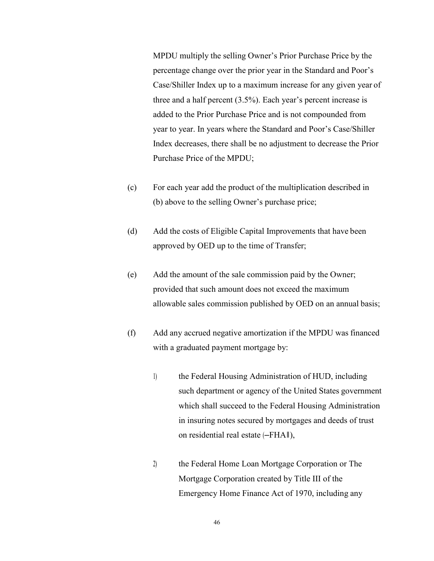MPDU multiply the selling Owner's Prior Purchase Price by the percentage change over the prior year in the Standard and Poor's Case/Shiller Index up to a maximum increase for any given year of three and a half percent (3.5%). Each year's percent increase is added to the Prior Purchase Price and is not compounded from year to year. In years where the Standard and Poor's Case/Shiller Index decreases, there shall be no adjustment to decrease the Prior Purchase Price of the MPDU;

- (c) For each year add the product of the multiplication described in (b) above to the selling Owner's purchase price;
- (d) Add the costs of Eligible Capital Improvements that have been approved by OED up to the time of Transfer;
- (e) Add the amount of the sale commission paid by the Owner; provided that such amount does not exceed the maximum allowable sales commission published by OED on an annual basis;
- (f) Add any accrued negative amortization if the MPDU was financed with a graduated payment mortgage by:
	- 1) the Federal Housing Administration of HUD, including such department or agency of the United States government which shall succeed to the Federal Housing Administration in insuring notes secured by mortgages and deeds of trust on residential real estate (―FHA‖),
	- 2) the Federal Home Loan Mortgage Corporation or The Mortgage Corporation created by Title III of the Emergency Home Finance Act of 1970, including any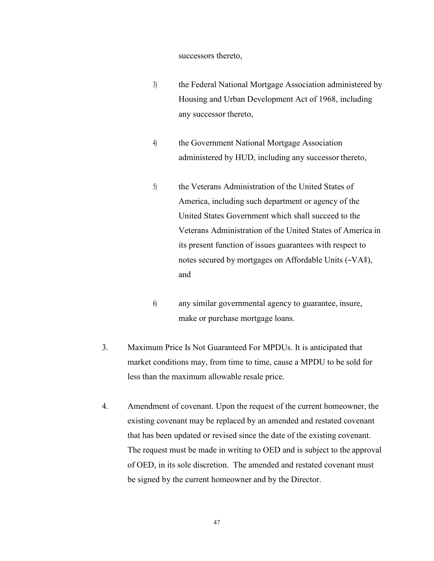#### successors thereto,

- 3) the Federal National Mortgage Association administered by Housing and Urban Development Act of 1968, including any successor thereto,
- 4) the Government National Mortgage Association administered by HUD, including any successor thereto,
- 5) the Veterans Administration of the United States of America, including such department or agency of the United States Government which shall succeed to the Veterans Administration of the United States of America in its present function of issues guarantees with respect to notes secured by mortgages on Affordable Units (―VA‖), and
- 6) any similar governmental agency to guarantee, insure, make or purchase mortgage loans.
- 3. Maximum Price Is Not Guaranteed For MPDUs. It is anticipated that market conditions may, from time to time, cause a MPDU to be sold for less than the maximum allowable resale price.
- 4. Amendment of covenant. Upon the request of the current homeowner, the existing covenant may be replaced by an amended and restated covenant that has been updated or revised since the date of the existing covenant. The request must be made in writing to OED and is subject to the approval of OED, in its sole discretion. The amended and restated covenant must be signed by the current homeowner and by the Director.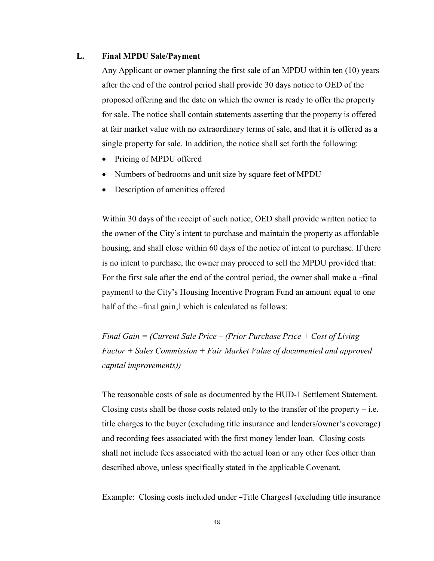### <span id="page-47-0"></span>**L. Final MPDU Sale/Payment**

Any Applicant or owner planning the first sale of an MPDU within ten (10) years after the end of the control period shall provide 30 days notice to OED of the proposed offering and the date on which the owner is ready to offer the property for sale. The notice shall contain statements asserting that the property is offered at fair market value with no extraordinary terms of sale, and that it is offered as a single property for sale. In addition, the notice shall set forth the following:

- Pricing of MPDU offered
- Numbers of bedrooms and unit size by square feet of MPDU
- Description of amenities offered

Within 30 days of the receipt of such notice, OED shall provide written notice to the owner of the City's intent to purchase and maintain the property as affordable housing, and shall close within 60 days of the notice of intent to purchase. If there is no intent to purchase, the owner may proceed to sell the MPDU provided that: For the first sale after the end of the control period, the owner shall make a -final payment‖ to the City's Housing Incentive Program Fund an amount equal to one half of the -final gain, which is calculated as follows:

*Final Gain = (Current Sale Price – (Prior Purchase Price + Cost of Living Factor + Sales Commission + Fair Market Value of documented and approved capital improvements))*

The reasonable costs of sale as documented by the HUD-1 Settlement Statement. Closing costs shall be those costs related only to the transfer of the property  $-$  i.e. title charges to the buyer (excluding title insurance and lenders/owner's coverage) and recording fees associated with the first money lender loan. Closing costs shall not include fees associated with the actual loan or any other fees other than described above, unless specifically stated in the applicable Covenant.

Example: Closing costs included under ―Title Charges‖ (excluding title insurance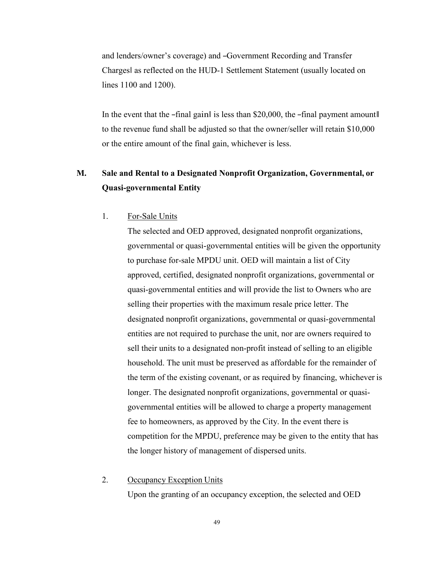and lenders/owner's coverage) and ―Government Recording and Transfer Charges‖ as reflected on the HUD-1 Settlement Statement (usually located on lines 1100 and 1200).

In the event that the  $-\text{final gain}$  is less than \$20,000, the  $-\text{final payment amount}$ to the revenue fund shall be adjusted so that the owner/seller will retain \$10,000 or the entire amount of the final gain, whichever is less.

# <span id="page-48-0"></span>**M. Sale and Rental to a Designated Nonprofit Organization, Governmental, or Quasi-governmental Entity**

1. For-Sale Units

The selected and OED approved, designated nonprofit organizations, governmental or quasi-governmental entities will be given the opportunity to purchase for-sale MPDU unit. OED will maintain a list of City approved, certified, designated nonprofit organizations, governmental or quasi-governmental entities and will provide the list to Owners who are selling their properties with the maximum resale price letter. The designated nonprofit organizations, governmental or quasi-governmental entities are not required to purchase the unit, nor are owners required to sell their units to a designated non-profit instead of selling to an eligible household. The unit must be preserved as affordable for the remainder of the term of the existing covenant, or as required by financing, whichever is longer. The designated nonprofit organizations, governmental or quasigovernmental entities will be allowed to charge a property management fee to homeowners, as approved by the City. In the event there is competition for the MPDU, preference may be given to the entity that has the longer history of management of dispersed units.

# 2. Occupancy Exception Units

Upon the granting of an occupancy exception, the selected and OED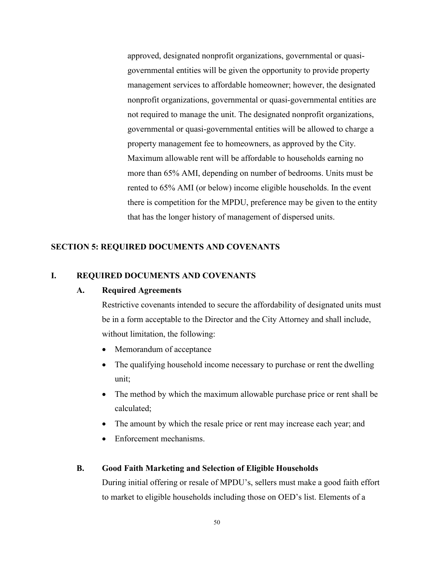approved, designated nonprofit organizations, governmental or quasigovernmental entities will be given the opportunity to provide property management services to affordable homeowner; however, the designated nonprofit organizations, governmental or quasi-governmental entities are not required to manage the unit. The designated nonprofit organizations, governmental or quasi-governmental entities will be allowed to charge a property management fee to homeowners, as approved by the City. Maximum allowable rent will be affordable to households earning no more than 65% AMI, depending on number of bedrooms. Units must be rented to 65% AMI (or below) income eligible households. In the event there is competition for the MPDU, preference may be given to the entity that has the longer history of management of dispersed units.

# <span id="page-49-0"></span>**SECTION 5: REQUIRED DOCUMENTS AND COVENANTS**

## <span id="page-49-2"></span><span id="page-49-1"></span>**I. REQUIRED DOCUMENTS AND COVENANTS**

### **A. Required Agreements**

Restrictive covenants intended to secure the affordability of designated units must be in a form acceptable to the Director and the City Attorney and shall include, without limitation, the following:

- Memorandum of acceptance
- The qualifying household income necessary to purchase or rent the dwelling unit;
- The method by which the maximum allowable purchase price or rent shall be calculated;
- The amount by which the resale price or rent may increase each year; and
- Enforcement mechanisms.

### <span id="page-49-3"></span>**B. Good Faith Marketing and Selection of Eligible Households**

During initial offering or resale of MPDU's, sellers must make a good faith effort to market to eligible households including those on OED's list. Elements of a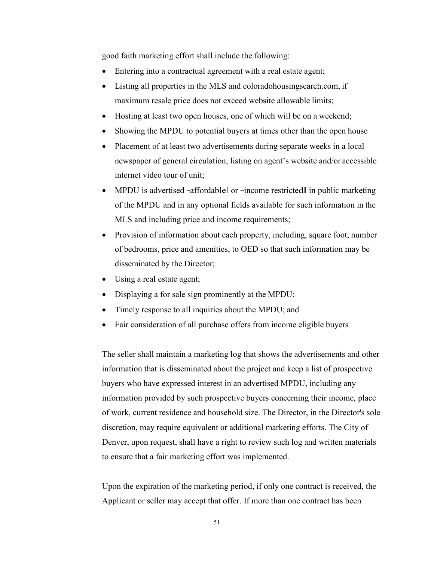good faith marketing effort shall include the following:

- Entering into a contractual agreement with a real estate agent;
- Listing all properties in the MLS and coloradohousing search.com, if maximum resale price does not exceed website allowable limits;
- Hosting at least two open houses, one of which will be on a weekend;
- Showing the MPDU to potential buyers at times other than the open house
- Placement of at least two advertisements during separate weeks in a local newspaper of general circulation, listing on agent's website and/or accessible internet video tour of unit;
- MPDU is advertised –affordable or –income restricted in public marketing of the MPDU and in any optional fields available for such information in the MLS and including price and income requirements;
- Provision of information about each property, including, square foot, number of bedrooms, price and amenities, to OED so that such information may be disseminated by the Director;
- Using a real estate agent;
- Displaying a for sale sign prominently at the MPDU;
- Timely response to all inquiries about the MPDU; and
- Fair consideration of all purchase offers from income eligible buyers

The seller shall maintain a marketing log that shows the advertisements and other information that is disseminated about the project and keep a list of prospective buyers who have expressed interest in an advertised MPDU, including any information provided by such prospective buyers concerning their income, place of work, current residence and household size. The Director, in the Director's sole discretion, may require equivalent or additional marketing efforts. The City of Denver, upon request, shall have a right to review such log and written materials to ensure that a fair marketing effort was implemented.

Upon the expiration of the marketing period, if only one contract is received, the Applicant or seller may accept that offer. If more than one contract has been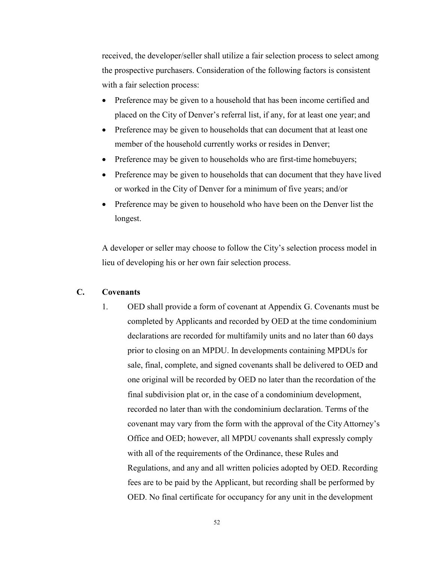received, the developer/seller shall utilize a fair selection process to select among the prospective purchasers. Consideration of the following factors is consistent with a fair selection process:

- Preference may be given to a household that has been income certified and placed on the City of Denver's referral list, if any, for at least one year; and
- Preference may be given to households that can document that at least one member of the household currently works or resides in Denver;
- Preference may be given to households who are first-time homebuyers;
- Preference may be given to households that can document that they have lived or worked in the City of Denver for a minimum of five years; and/or
- Preference may be given to household who have been on the Denver list the longest.

A developer or seller may choose to follow the City's selection process model in lieu of developing his or her own fair selection process.

# <span id="page-51-0"></span>**C. Covenants**

1. OED shall provide a form of covenant at Appendix G. Covenants must be completed by Applicants and recorded by OED at the time condominium declarations are recorded for multifamily units and no later than 60 days prior to closing on an MPDU. In developments containing MPDUs for sale, final, complete, and signed covenants shall be delivered to OED and one original will be recorded by OED no later than the recordation of the final subdivision plat or, in the case of a condominium development, recorded no later than with the condominium declaration. Terms of the covenant may vary from the form with the approval of the CityAttorney's Office and OED; however, all MPDU covenants shall expressly comply with all of the requirements of the Ordinance, these Rules and Regulations, and any and all written policies adopted by OED. Recording fees are to be paid by the Applicant, but recording shall be performed by OED. No final certificate for occupancy for any unit in the development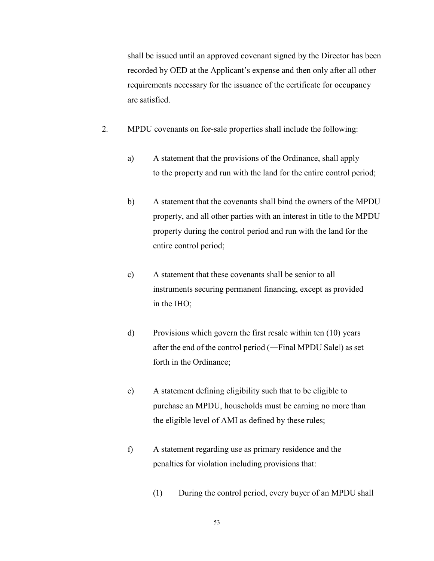shall be issued until an approved covenant signed by the Director has been recorded by OED at the Applicant's expense and then only after all other requirements necessary for the issuance of the certificate for occupancy are satisfied.

- 2. MPDU covenants on for-sale properties shall include the following:
	- a) A statement that the provisions of the Ordinance, shall apply to the property and run with the land for the entire control period;
	- b) A statement that the covenants shall bind the owners of the MPDU property, and all other parties with an interest in title to the MPDU property during the control period and run with the land for the entire control period;
	- c) A statement that these covenants shall be senior to all instruments securing permanent financing, except as provided in the IHO;
	- d) Provisions which govern the first resale within ten (10) years after the end of the control period (―Final MPDU Sale‖) as set forth in the Ordinance;
	- e) A statement defining eligibility such that to be eligible to purchase an MPDU, households must be earning no more than the eligible level of AMI as defined by these rules;
	- f) A statement regarding use as primary residence and the penalties for violation including provisions that:
		- (1) During the control period, every buyer of an MPDU shall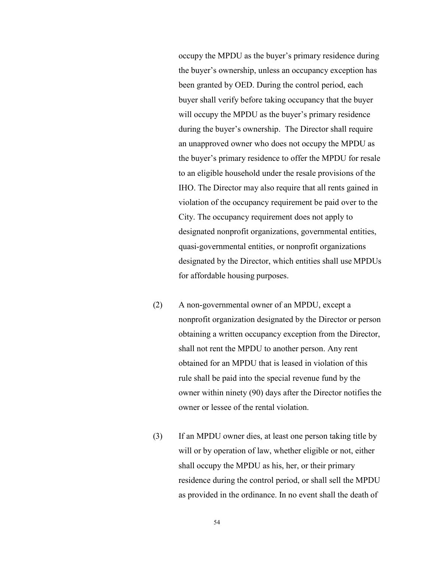occupy the MPDU as the buyer's primary residence during the buyer's ownership, unless an occupancy exception has been granted by OED. During the control period, each buyer shall verify before taking occupancy that the buyer will occupy the MPDU as the buyer's primary residence during the buyer's ownership. The Director shall require an unapproved owner who does not occupy the MPDU as the buyer's primary residence to offer the MPDU for resale to an eligible household under the resale provisions of the IHO. The Director may also require that all rents gained in violation of the occupancy requirement be paid over to the City. The occupancy requirement does not apply to designated nonprofit organizations, governmental entities, quasi-governmental entities, or nonprofit organizations designated by the Director, which entities shall use MPDUs for affordable housing purposes.

- (2) A non-governmental owner of an MPDU, except a nonprofit organization designated by the Director or person obtaining a written occupancy exception from the Director, shall not rent the MPDU to another person. Any rent obtained for an MPDU that is leased in violation of this rule shall be paid into the special revenue fund by the owner within ninety (90) days after the Director notifies the owner or lessee of the rental violation.
- (3) If an MPDU owner dies, at least one person taking title by will or by operation of law, whether eligible or not, either shall occupy the MPDU as his, her, or their primary residence during the control period, or shall sell the MPDU as provided in the ordinance. In no event shall the death of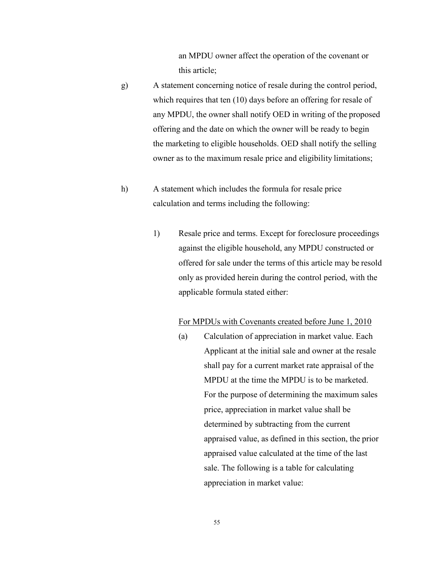an MPDU owner affect the operation of the covenant or this article;

- g) A statement concerning notice of resale during the control period, which requires that ten (10) days before an offering for resale of any MPDU, the owner shall notify OED in writing of the proposed offering and the date on which the owner will be ready to begin the marketing to eligible households. OED shall notify the selling owner as to the maximum resale price and eligibility limitations;
- h) A statement which includes the formula for resale price calculation and terms including the following:
	- 1) Resale price and terms. Except for foreclosure proceedings against the eligible household, any MPDU constructed or offered for sale under the terms of this article may be resold only as provided herein during the control period, with the applicable formula stated either:

### For MPDUs with Covenants created before June 1, 2010

(a) Calculation of appreciation in market value. Each Applicant at the initial sale and owner at the resale shall pay for a current market rate appraisal of the MPDU at the time the MPDU is to be marketed. For the purpose of determining the maximum sales price, appreciation in market value shall be determined by subtracting from the current appraised value, as defined in this section, the prior appraised value calculated at the time of the last sale. The following is a table for calculating appreciation in market value: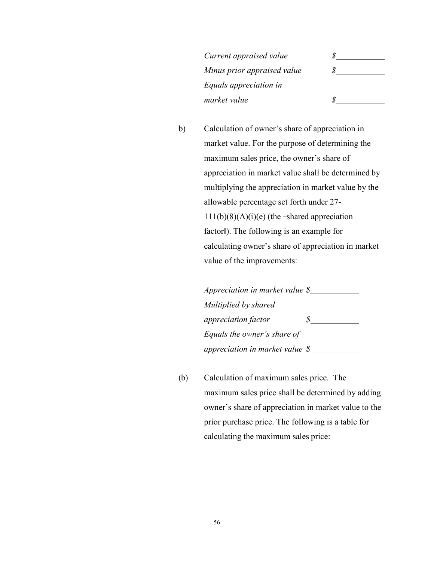*Current appraised value \$ Minus prior appraised value \$ Equals appreciation in market value \$*

b) Calculation of owner's share of appreciation in market value. For the purpose of determining the maximum sales price, the owner's share of appreciation in market value shall be determined by multiplying the appreciation in market value by the allowable percentage set forth under 27-  $111(b)(8)(A)(i)(e)$  (the -shared appreciation factor‖). The following is an example for calculating owner's share of appreciation in market value of the improvements:

> *Appreciation in market value \$ Multiplied by shared appreciation factor \$ Equals the owner's share of appreciation in market value \$*

(b) Calculation of maximum sales price. The maximum sales price shall be determined by adding owner's share of appreciation in market value to the prior purchase price. The following is a table for calculating the maximum sales price: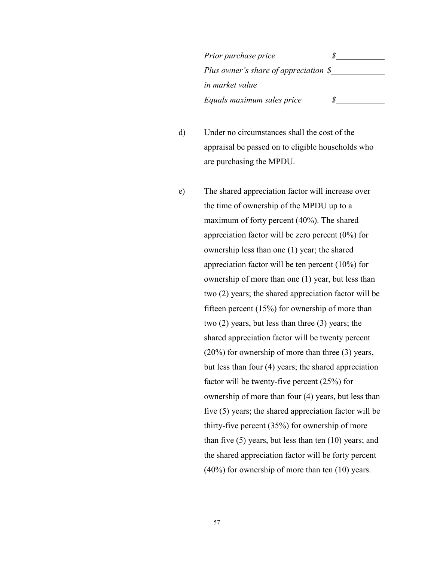*Prior purchase price \$ Plus owner's share of appreciation \$ in market value Equals maximum sales price \$*

d) Under no circumstances shall the cost of the appraisal be passed on to eligible households who are purchasing the MPDU.

e) The shared appreciation factor will increase over the time of ownership of the MPDU up to a maximum of forty percent (40%). The shared appreciation factor will be zero percent (0%) for ownership less than one (1) year; the shared appreciation factor will be ten percent (10%) for ownership of more than one (1) year, but less than two (2) years; the shared appreciation factor will be fifteen percent (15%) for ownership of more than two (2) years, but less than three (3) years; the shared appreciation factor will be twenty percent (20%) for ownership of more than three (3) years, but less than four (4) years; the shared appreciation factor will be twenty-five percent (25%) for ownership of more than four (4) years, but less than five (5) years; the shared appreciation factor will be thirty-five percent (35%) for ownership of more than five (5) years, but less than ten (10) years; and the shared appreciation factor will be forty percent (40%) for ownership of more than ten (10) years.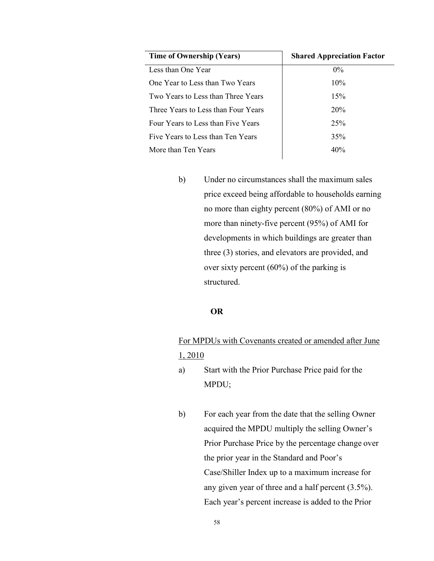| Time of Ownership (Years)           | <b>Shared Appreciation Factor</b> |
|-------------------------------------|-----------------------------------|
| Less than One Year                  | $0\%$                             |
| One Year to Less than Two Years     | 10%                               |
| Two Years to Less than Three Years  | 15%                               |
| Three Years to Less than Four Years | 20%                               |
| Four Years to Less than Five Years  | 25%                               |
| Five Years to Less than Ten Years   | 35%                               |
| More than Ten Years                 | 40%                               |

b) Under no circumstances shall the maximum sales price exceed being affordable to households earning no more than eighty percent (80%) of AMI or no more than ninety-five percent (95%) of AMI for developments in which buildings are greater than three (3) stories, and elevators are provided, and over sixty percent (60%) of the parking is structured.

## **OR**

# For MPDUs with Covenants created or amended after June 1, 2010

- a) Start with the Prior Purchase Price paid for the MPDU;
- b) For each year from the date that the selling Owner acquired the MPDU multiply the selling Owner's Prior Purchase Price by the percentage change over the prior year in the Standard and Poor's Case/Shiller Index up to a maximum increase for any given year of three and a half percent (3.5%). Each year's percent increase is added to the Prior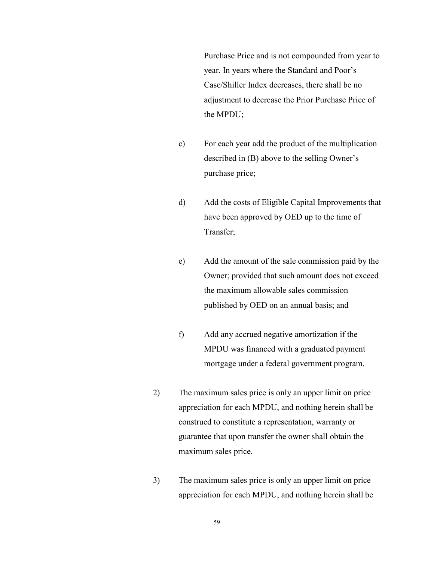Purchase Price and is not compounded from year to year. In years where the Standard and Poor's Case/Shiller Index decreases, there shall be no adjustment to decrease the Prior Purchase Price of the MPDU;

- c) For each year add the product of the multiplication described in (B) above to the selling Owner's purchase price;
- d) Add the costs of Eligible Capital Improvements that have been approved by OED up to the time of Transfer;
- e) Add the amount of the sale commission paid by the Owner; provided that such amount does not exceed the maximum allowable sales commission published by OED on an annual basis; and
- f) Add any accrued negative amortization if the MPDU was financed with a graduated payment mortgage under a federal government program.
- 2) The maximum sales price is only an upper limit on price appreciation for each MPDU, and nothing herein shall be construed to constitute a representation, warranty or guarantee that upon transfer the owner shall obtain the maximum sales price.
- 3) The maximum sales price is only an upper limit on price appreciation for each MPDU, and nothing herein shall be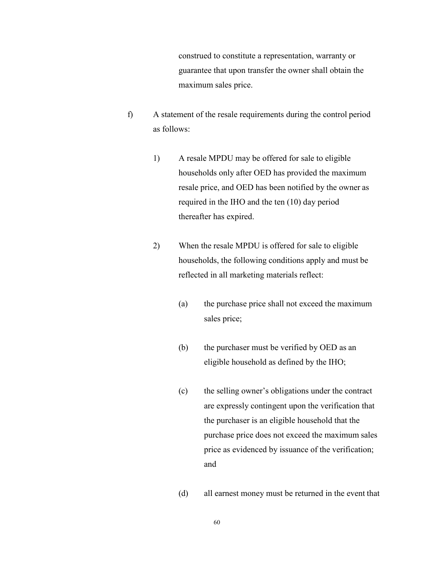construed to constitute a representation, warranty or guarantee that upon transfer the owner shall obtain the maximum sales price.

- f) A statement of the resale requirements during the control period as follows:
	- 1) A resale MPDU may be offered for sale to eligible households only after OED has provided the maximum resale price, and OED has been notified by the owner as required in the IHO and the ten (10) day period thereafter has expired.
	- 2) When the resale MPDU is offered for sale to eligible households, the following conditions apply and must be reflected in all marketing materials reflect:
		- (a) the purchase price shall not exceed the maximum sales price;
		- (b) the purchaser must be verified by OED as an eligible household as defined by the IHO;
		- (c) the selling owner's obligations under the contract are expressly contingent upon the verification that the purchaser is an eligible household that the purchase price does not exceed the maximum sales price as evidenced by issuance of the verification; and
		- (d) all earnest money must be returned in the event that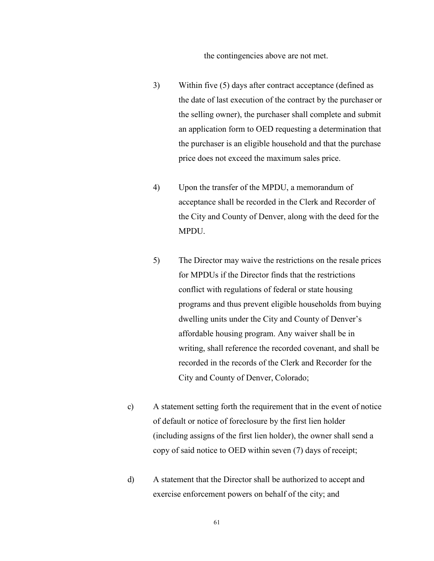the contingencies above are not met.

- 3) Within five (5) days after contract acceptance (defined as the date of last execution of the contract by the purchaser or the selling owner), the purchaser shall complete and submit an application form to OED requesting a determination that the purchaser is an eligible household and that the purchase price does not exceed the maximum sales price.
- 4) Upon the transfer of the MPDU, a memorandum of acceptance shall be recorded in the Clerk and Recorder of the City and County of Denver, along with the deed for the MPDU.
- 5) The Director may waive the restrictions on the resale prices for MPDUs if the Director finds that the restrictions conflict with regulations of federal or state housing programs and thus prevent eligible households from buying dwelling units under the City and County of Denver's affordable housing program. Any waiver shall be in writing, shall reference the recorded covenant, and shall be recorded in the records of the Clerk and Recorder for the City and County of Denver, Colorado;
- c) A statement setting forth the requirement that in the event of notice of default or notice of foreclosure by the first lien holder (including assigns of the first lien holder), the owner shall send a copy of said notice to OED within seven (7) days of receipt;
- d) A statement that the Director shall be authorized to accept and exercise enforcement powers on behalf of the city; and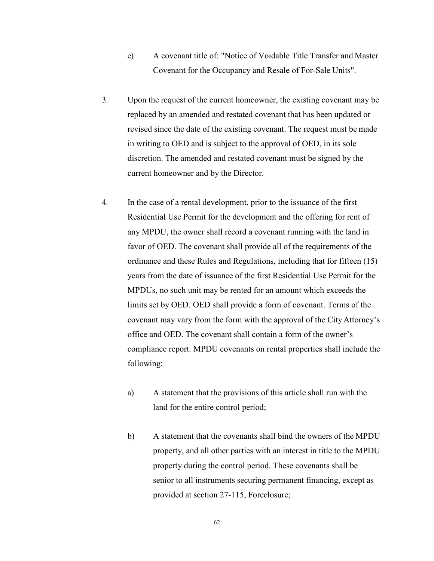- e) A covenant title of: "Notice of Voidable Title Transfer and Master Covenant for the Occupancy and Resale of For-Sale Units".
- 3. Upon the request of the current homeowner, the existing covenant may be replaced by an amended and restated covenant that has been updated or revised since the date of the existing covenant. The request must be made in writing to OED and is subject to the approval of OED, in its sole discretion. The amended and restated covenant must be signed by the current homeowner and by the Director.
- 4. In the case of a rental development, prior to the issuance of the first Residential Use Permit for the development and the offering for rent of any MPDU, the owner shall record a covenant running with the land in favor of OED. The covenant shall provide all of the requirements of the ordinance and these Rules and Regulations, including that for fifteen (15) years from the date of issuance of the first Residential Use Permit for the MPDUs, no such unit may be rented for an amount which exceeds the limits set by OED. OED shall provide a form of covenant. Terms of the covenant may vary from the form with the approval of the City Attorney's office and OED. The covenant shall contain a form of the owner's compliance report. MPDU covenants on rental properties shall include the following:
	- a) A statement that the provisions of this article shall run with the land for the entire control period;
	- b) A statement that the covenants shall bind the owners of the MPDU property, and all other parties with an interest in title to the MPDU property during the control period. These covenants shall be senior to all instruments securing permanent financing, except as provided at section 27-115, Foreclosure;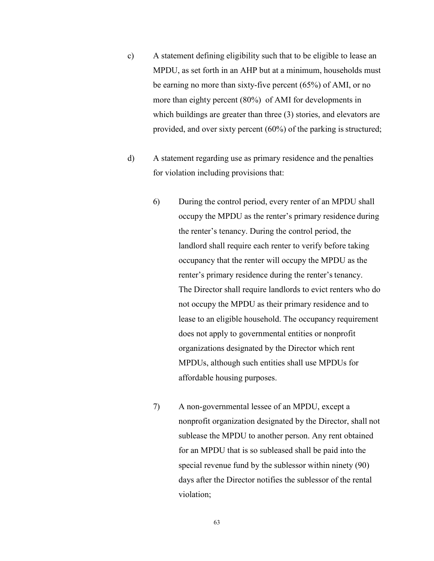- c) A statement defining eligibility such that to be eligible to lease an MPDU, as set forth in an AHP but at a minimum, households must be earning no more than sixty-five percent (65%) of AMI, or no more than eighty percent (80%) of AMI for developments in which buildings are greater than three (3) stories, and elevators are provided, and over sixty percent  $(60\%)$  of the parking is structured;
- d) A statement regarding use as primary residence and the penalties for violation including provisions that:
	- 6) During the control period, every renter of an MPDU shall occupy the MPDU as the renter's primary residence during the renter's tenancy. During the control period, the landlord shall require each renter to verify before taking occupancy that the renter will occupy the MPDU as the renter's primary residence during the renter's tenancy. The Director shall require landlords to evict renters who do not occupy the MPDU as their primary residence and to lease to an eligible household. The occupancy requirement does not apply to governmental entities or nonprofit organizations designated by the Director which rent MPDUs, although such entities shall use MPDUs for affordable housing purposes.
	- 7) A non-governmental lessee of an MPDU, except a nonprofit organization designated by the Director, shall not sublease the MPDU to another person. Any rent obtained for an MPDU that is so subleased shall be paid into the special revenue fund by the sublessor within ninety (90) days after the Director notifies the sublessor of the rental violation;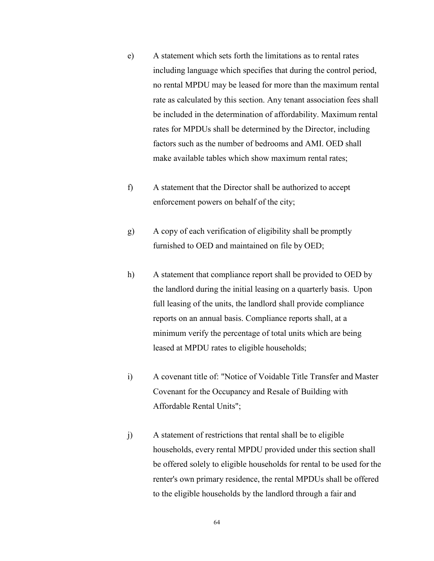- e) A statement which sets forth the limitations as to rental rates including language which specifies that during the control period, no rental MPDU may be leased for more than the maximum rental rate as calculated by this section. Any tenant association fees shall be included in the determination of affordability. Maximum rental rates for MPDUs shall be determined by the Director, including factors such as the number of bedrooms and AMI. OED shall make available tables which show maximum rental rates;
- f) A statement that the Director shall be authorized to accept enforcement powers on behalf of the city;
- g) A copy of each verification of eligibility shall be promptly furnished to OED and maintained on file by OED;
- h) A statement that compliance report shall be provided to OED by the landlord during the initial leasing on a quarterly basis. Upon full leasing of the units, the landlord shall provide compliance reports on an annual basis. Compliance reports shall, at a minimum verify the percentage of total units which are being leased at MPDU rates to eligible households;
- i) A covenant title of: "Notice of Voidable Title Transfer and Master Covenant for the Occupancy and Resale of Building with Affordable Rental Units";
- j) A statement of restrictions that rental shall be to eligible households, every rental MPDU provided under this section shall be offered solely to eligible households for rental to be used for the renter's own primary residence, the rental MPDUs shall be offered to the eligible households by the landlord through a fair and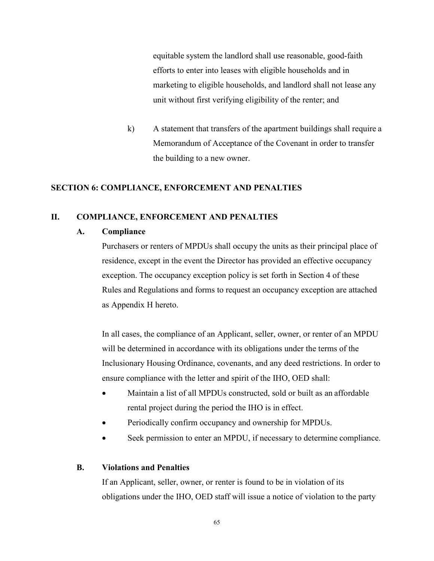equitable system the landlord shall use reasonable, good-faith efforts to enter into leases with eligible households and in marketing to eligible households, and landlord shall not lease any unit without first verifying eligibility of the renter; and

k) A statement that transfers of the apartment buildings shall require a Memorandum of Acceptance of the Covenant in order to transfer the building to a new owner.

## <span id="page-64-0"></span>**SECTION 6: COMPLIANCE, ENFORCEMENT AND PENALTIES**

### <span id="page-64-2"></span><span id="page-64-1"></span>**II. COMPLIANCE, ENFORCEMENT AND PENALTIES**

## **A. Compliance**

Purchasers or renters of MPDUs shall occupy the units as their principal place of residence, except in the event the Director has provided an effective occupancy exception. The occupancy exception policy is set forth in Section 4 of these Rules and Regulations and forms to request an occupancy exception are attached as Appendix H hereto.

In all cases, the compliance of an Applicant, seller, owner, or renter of an MPDU will be determined in accordance with its obligations under the terms of the Inclusionary Housing Ordinance, covenants, and any deed restrictions. In order to ensure compliance with the letter and spirit of the IHO, OED shall:

- Maintain a list of all MPDUs constructed, sold or built as an affordable rental project during the period the IHO is in effect.
- Periodically confirm occupancy and ownership for MPDUs.
- Seek permission to enter an MPDU, if necessary to determine compliance.

### <span id="page-64-3"></span>**B. Violations and Penalties**

If an Applicant, seller, owner, or renter is found to be in violation of its obligations under the IHO, OED staff will issue a notice of violation to the party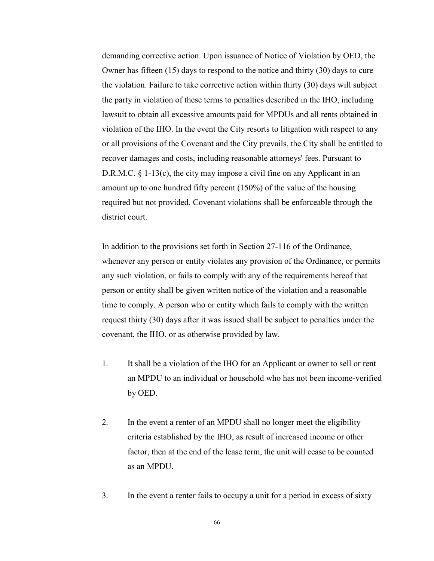demanding corrective action. Upon issuance of Notice of Violation by OED, the Owner has fifteen (15) days to respond to the notice and thirty (30) days to cure the violation. Failure to take corrective action within thirty (30) days will subject the party in violation of these terms to penalties described in the IHO, including lawsuit to obtain all excessive amounts paid for MPDUs and all rents obtained in violation of the IHO. In the event the City resorts to litigation with respect to any or all provisions of the Covenant and the City prevails, the City shall be entitled to recover damages and costs, including reasonable attorneys' fees. Pursuant to D.R.M.C. § 1-13(c), the city may impose a civil fine on any Applicant in an amount up to one hundred fifty percent (150%) of the value of the housing required but not provided. Covenant violations shall be enforceable through the district court.

In addition to the provisions set forth in Section 27-116 of the Ordinance, whenever any person or entity violates any provision of the Ordinance, or permits any such violation, or fails to comply with any of the requirements hereof that person or entity shall be given written notice of the violation and a reasonable time to comply. A person who or entity which fails to comply with the written request thirty (30) days after it was issued shall be subject to penalties under the covenant, the IHO, or as otherwise provided by law.

- 1. It shall be a violation of the IHO for an Applicant or owner to sell or rent an MPDU to an individual or household who has not been income-verified by OED.
- 2. In the event a renter of an MPDU shall no longer meet the eligibility criteria established by the IHO, as result of increased income or other factor, then at the end of the lease term, the unit will cease to be counted as an MPDU.
- 3. In the event a renter fails to occupy a unit for a period in excess of sixty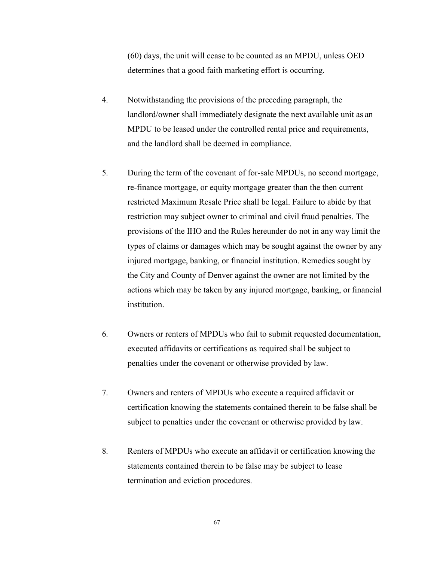(60) days, the unit will cease to be counted as an MPDU, unless OED determines that a good faith marketing effort is occurring.

- 4. Notwithstanding the provisions of the preceding paragraph, the landlord/owner shall immediately designate the next available unit as an MPDU to be leased under the controlled rental price and requirements, and the landlord shall be deemed in compliance.
- 5. During the term of the covenant of for-sale MPDUs, no second mortgage, re-finance mortgage, or equity mortgage greater than the then current restricted Maximum Resale Price shall be legal. Failure to abide by that restriction may subject owner to criminal and civil fraud penalties. The provisions of the IHO and the Rules hereunder do not in any way limit the types of claims or damages which may be sought against the owner by any injured mortgage, banking, or financial institution. Remedies sought by the City and County of Denver against the owner are not limited by the actions which may be taken by any injured mortgage, banking, or financial institution.
- 6. Owners or renters of MPDUs who fail to submit requested documentation, executed affidavits or certifications as required shall be subject to penalties under the covenant or otherwise provided by law.
- 7. Owners and renters of MPDUs who execute a required affidavit or certification knowing the statements contained therein to be false shall be subject to penalties under the covenant or otherwise provided by law.
- 8. Renters of MPDUs who execute an affidavit or certification knowing the statements contained therein to be false may be subject to lease termination and eviction procedures.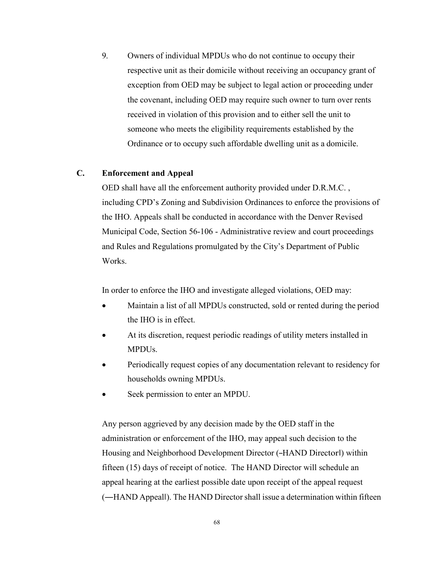9. Owners of individual MPDUs who do not continue to occupy their respective unit as their domicile without receiving an occupancy grant of exception from OED may be subject to legal action or proceeding under the covenant, including OED may require such owner to turn over rents received in violation of this provision and to either sell the unit to someone who meets the eligibility requirements established by the Ordinance or to occupy such affordable dwelling unit as a domicile.

### <span id="page-67-0"></span>**C. Enforcement and Appeal**

OED shall have all the enforcement authority provided under D.R.M.C. , including CPD's Zoning and Subdivision Ordinances to enforce the provisions of the IHO. Appeals shall be conducted in accordance with the Denver Revised Municipal Code, Section 56-106 - Administrative review and court proceedings and Rules and Regulations promulgated by the City's Department of Public Works.

In order to enforce the IHO and investigate alleged violations, OED may:

- Maintain a list of all MPDUs constructed, sold or rented during the period the IHO is in effect.
- At its discretion, request periodic readings of utility meters installed in MPDUs.
- Periodically request copies of any documentation relevant to residency for households owning MPDUs.
- Seek permission to enter an MPDU.

Any person aggrieved by any decision made by the OED staff in the administration or enforcement of the IHO, may appeal such decision to the Housing and Neighborhood Development Director (―HAND Director‖) within fifteen (15) days of receipt of notice. The HAND Director will schedule an appeal hearing at the earliest possible date upon receipt of the appeal request (―HAND Appeal‖). The HAND Director shall issue a determination within fifteen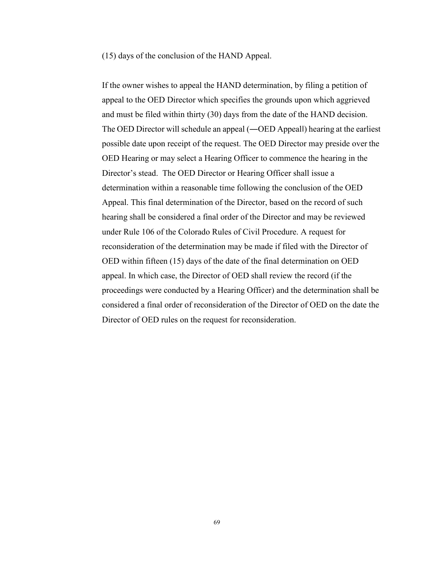(15) days of the conclusion of the HAND Appeal.

If the owner wishes to appeal the HAND determination, by filing a petition of appeal to the OED Director which specifies the grounds upon which aggrieved and must be filed within thirty (30) days from the date of the HAND decision. The OED Director will schedule an appeal (―OED Appeal‖) hearing at the earliest possible date upon receipt of the request. The OED Director may preside over the OED Hearing or may select a Hearing Officer to commence the hearing in the Director's stead. The OED Director or Hearing Officer shall issue a determination within a reasonable time following the conclusion of the OED Appeal. This final determination of the Director, based on the record of such hearing shall be considered a final order of the Director and may be reviewed under Rule 106 of the Colorado Rules of Civil Procedure. A request for reconsideration of the determination may be made if filed with the Director of OED within fifteen (15) days of the date of the final determination on OED appeal. In which case, the Director of OED shall review the record (if the proceedings were conducted by a Hearing Officer) and the determination shall be considered a final order of reconsideration of the Director of OED on the date the Director of OED rules on the request for reconsideration.